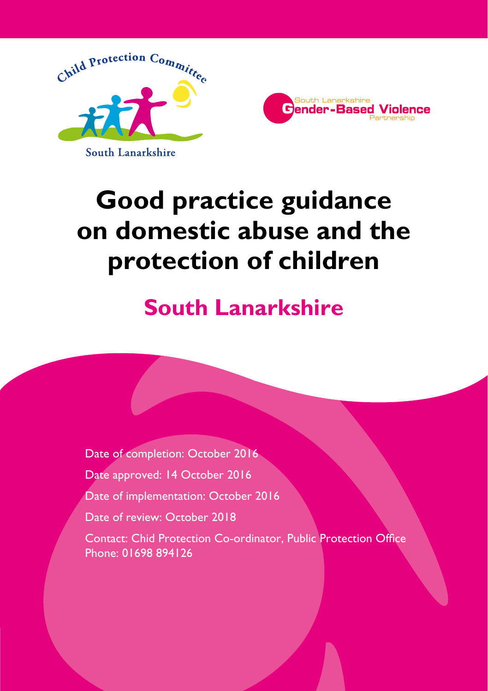



# **Good practice guidance on domestic abuse and the protection of children**

# **South Lanarkshire**

Date of completion: October 2016 Date approved: 14 October 2016 Date of implementation: October 2016 Date of review: October 2018 Contact: Chid Protection Co-ordinator, Public Protection Office Phone: 01698 894126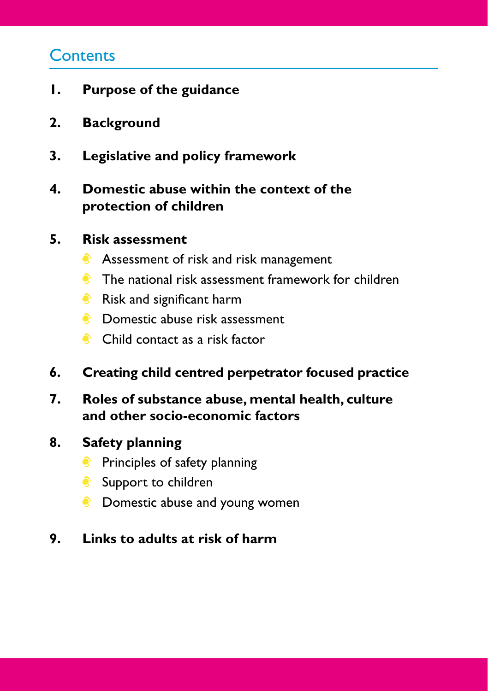## **Contents**

- **1. Purpose of the guidance**
- **2. Background**
- **3. Legislative and policy framework**

## **4. Domestic abuse within the context of the protection of children**

## **5. Risk assessment**

- **Assessment of risk and risk management**
- **The national risk assessment framework for children**
- Risk and significant harm
- **C** Domestic abuse risk assessment
- Child contact as a risk factor
- **6. Creating child centred perpetrator focused practice**
- **7. Roles of substance abuse, mental health, culture and other socio-economic factors**
- **8. Safety planning**
	- **•** Principles of safety planning
	- Support to children
	- **C** Domestic abuse and young women

## **9. Links to adults at risk of harm**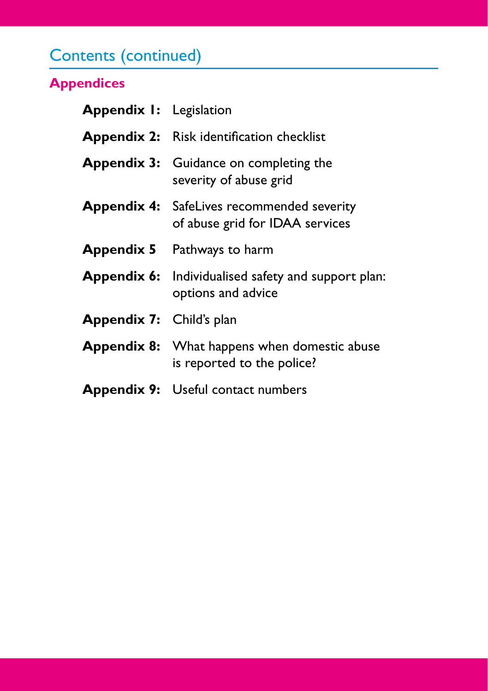# Contents (continued)

## **Appendices**

| <b>Appendix I:</b> Legislation  |                                                                                      |
|---------------------------------|--------------------------------------------------------------------------------------|
|                                 | <b>Appendix 2:</b> Risk identification checklist                                     |
|                                 | <b>Appendix 3:</b> Guidance on completing the<br>severity of abuse grid              |
|                                 | <b>Appendix 4:</b> SafeLives recommended severity<br>of abuse grid for IDAA services |
|                                 | <b>Appendix 5</b> Pathways to harm                                                   |
|                                 | <b>Appendix 6:</b> Individualised safety and support plan:<br>options and advice     |
| <b>Appendix 7:</b> Child's plan |                                                                                      |
|                                 | <b>Appendix 8:</b> What happens when domestic abuse<br>is reported to the police?    |
|                                 | <b>Appendix 9:</b> Useful contact numbers                                            |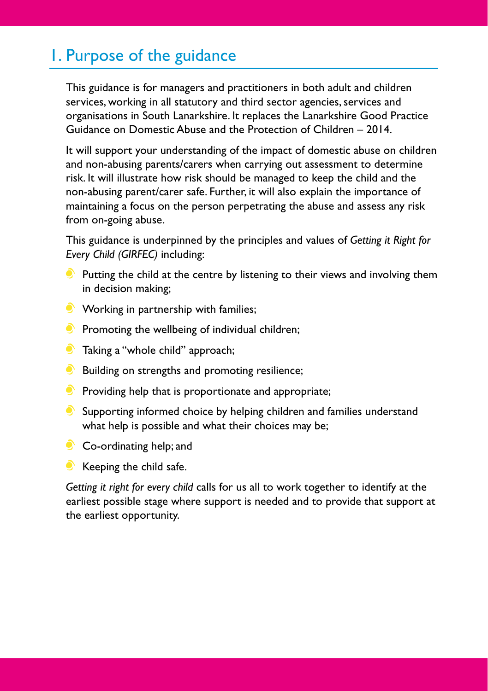## 1. Purpose of the guidance

This guidance is for managers and practitioners in both adult and children services, working in all statutory and third sector agencies, services and organisations in South Lanarkshire. It replaces the Lanarkshire Good Practice Guidance on Domestic Abuse and the Protection of Children – 2014.

It will support your understanding of the impact of domestic abuse on children and non-abusing parents/carers when carrying out assessment to determine risk. It will illustrate how risk should be managed to keep the child and the non-abusing parent/carer safe. Further, it will also explain the importance of maintaining a focus on the person perpetrating the abuse and assess any risk from on-going abuse.

This guidance is underpinned by the principles and values of *Getting it Right for Every Child (GIRFEC)* including:

- $\bullet$  Putting the child at the centre by listening to their views and involving them in decision making;
- **Working in partnership with families;**
- $\bullet$  Promoting the wellbeing of individual children;
- **Taking a "whole child" approach;**
- Building on strengths and promoting resilience;
- $\bullet$  Providing help that is proportionate and appropriate;
- $\bullet$  Supporting informed choice by helping children and families understand what help is possible and what their choices may be;
- Co-ordinating help; and
- $\bullet$  Keeping the child safe.

*Getting it right for every child* calls for us all to work together to identify at the earliest possible stage where support is needed and to provide that support at the earliest opportunity.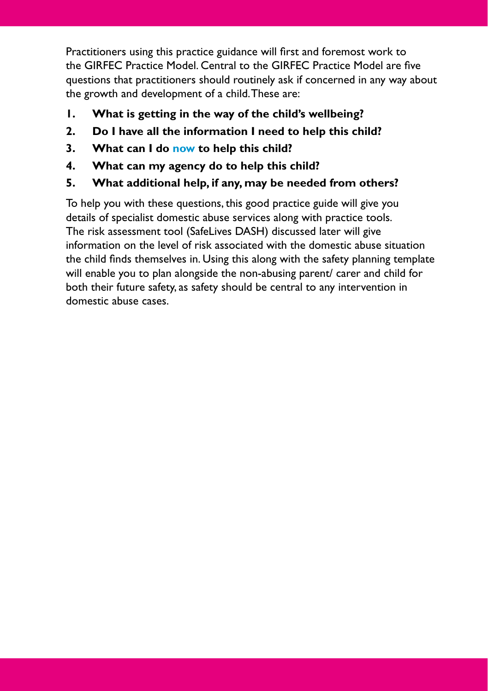Practitioners using this practice guidance will first and foremost work to the GIRFEC Practice Model. Central to the GIRFEC Practice Model are five questions that practitioners should routinely ask if concerned in any way about the growth and development of a child. These are:

- **1. What is getting in the way of the child's wellbeing?**
- **2. Do I have all the information I need to help this child?**
- **3. What can I do now to help this child?**
- **4. What can my agency do to help this child?**
- **5. What additional help, if any, may be needed from others?**

To help you with these questions, this good practice guide will give you details of specialist domestic abuse services along with practice tools. The risk assessment tool (SafeLives DASH) discussed later will give information on the level of risk associated with the domestic abuse situation the child finds themselves in. Using this along with the safety planning template will enable you to plan alongside the non-abusing parent/ carer and child for both their future safety, as safety should be central to any intervention in domestic abuse cases.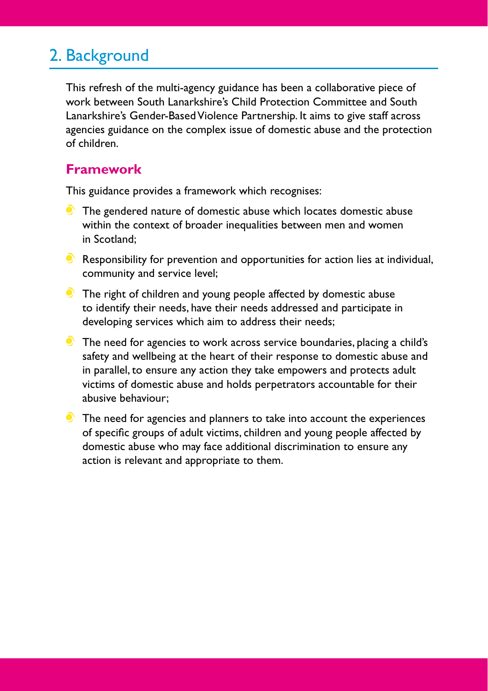## 2. Background

This refresh of the multi-agency guidance has been a collaborative piece of work between South Lanarkshire's Child Protection Committee and South Lanarkshire's Gender-Based Violence Partnership. It aims to give staff across agencies guidance on the complex issue of domestic abuse and the protection of children.

### **Framework**

This guidance provides a framework which recognises:

- **The gendered nature of domestic abuse which locates domestic abuse** within the context of broader inequalities between men and women in Scotland;
- $\bullet$  Responsibility for prevention and opportunities for action lies at individual, community and service level;
- The right of children and young people affected by domestic abuse to identify their needs, have their needs addressed and participate in developing services which aim to address their needs;
- The need for agencies to work across service boundaries, placing a child's safety and wellbeing at the heart of their response to domestic abuse and in parallel, to ensure any action they take empowers and protects adult victims of domestic abuse and holds perpetrators accountable for their abusive behaviour;
- $\bullet$  The need for agencies and planners to take into account the experiences of specific groups of adult victims, children and young people affected by domestic abuse who may face additional discrimination to ensure any action is relevant and appropriate to them.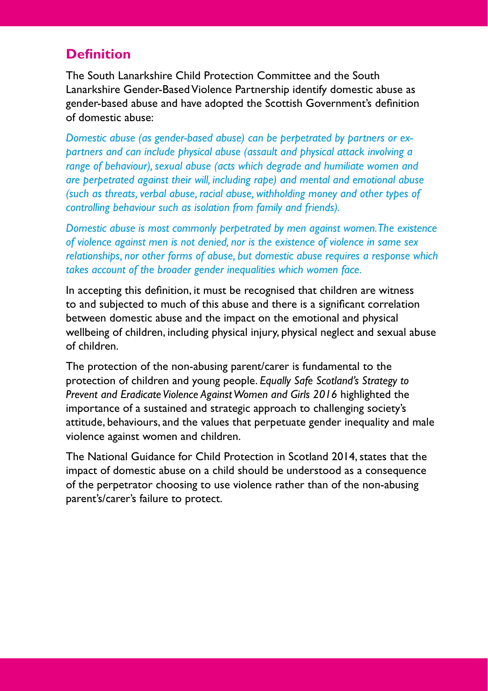## **Definition**

The South Lanarkshire Child Protection Committee and the South Lanarkshire Gender-Based Violence Partnership identify domestic abuse as gender-based abuse and have adopted the Scottish Government's definition of domestic abuse:

*Domestic abuse (as gender-based abuse) can be perpetrated by partners or expartners and can include physical abuse (assault and physical attack involving a range of behaviour), sexual abuse (acts which degrade and humiliate women and are perpetrated against their will, including rape) and mental and emotional abuse (such as threats, verbal abuse, racial abuse, withholding money and other types of controlling behaviour such as isolation from family and friends).*

*Domestic abuse is most commonly perpetrated by men against women. The existence of violence against men is not denied, nor is the existence of violence in same sex relationships, nor other forms of abuse, but domestic abuse requires a response which takes account of the broader gender inequalities which women face.*

In accepting this definition, it must be recognised that children are witness to and subjected to much of this abuse and there is a significant correlation between domestic abuse and the impact on the emotional and physical wellbeing of children, including physical injury, physical neglect and sexual abuse of children.

The protection of the non-abusing parent/carer is fundamental to the protection of children and young people. *Equally Safe Scotland's Strategy to Prevent and Eradicate Violence Against Women and Girls 2016* highlighted the importance of a sustained and strategic approach to challenging society's attitude, behaviours, and the values that perpetuate gender inequality and male violence against women and children.

The National Guidance for Child Protection in Scotland 2014, states that the impact of domestic abuse on a child should be understood as a consequence of the perpetrator choosing to use violence rather than of the non-abusing parent's/carer's failure to protect.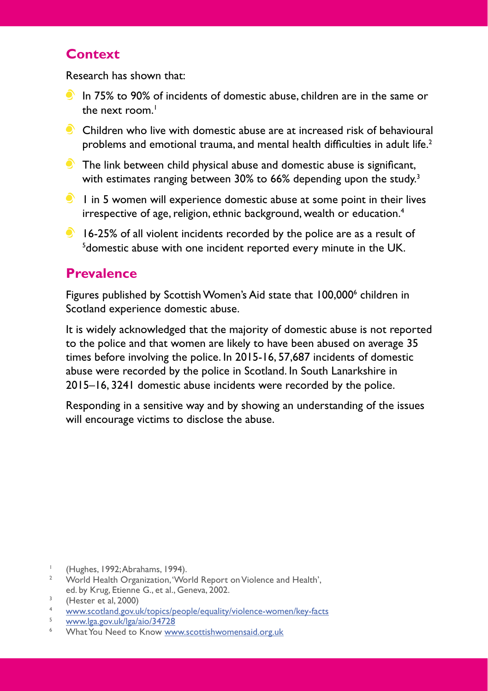## **Context**

Research has shown that:

- $\bullet$  In 75% to 90% of incidents of domestic abuse, children are in the same or the next room $<sup>1</sup>$ </sup>
- $\bullet$  Children who live with domestic abuse are at increased risk of behavioural problems and emotional trauma, and mental health difficulties in adult life.<sup>2</sup>
- $\bullet$  The link between child physical abuse and domestic abuse is significant, with estimates ranging between 30% to 66% depending upon the study.<sup>3</sup>
- $\bullet$  1 in 5 women will experience domestic abuse at some point in their lives irrespective of age, religion, ethnic background, wealth or education.4
- $\bullet$  16-25% of all violent incidents recorded by the police are as a result of <sup>5</sup> domestic abuse with one incident reported every minute in the UK.

## **Prevalence**

Figures published by Scottish Women's Aid state that 100,0006 children in Scotland experience domestic abuse.

It is widely acknowledged that the majority of domestic abuse is not reported to the police and that women are likely to have been abused on average 35 times before involving the police. In 2015-16, 57,687 incidents of domestic abuse were recorded by the police in Scotland. In South Lanarkshire in 2015–16, 3241 domestic abuse incidents were recorded by the police.

Responding in a sensitive way and by showing an understanding of the issues will encourage victims to disclose the abuse.

<sup>1</sup> (Hughes, 1992; Abrahams, 1994).<br><sup>2</sup> World Health Organization 'Wo

<sup>2</sup> World Health Organization, 'World Report on Violence and Health', ed. by Krug, Etienne G., et al., Geneva, 2002.

 $\frac{3}{4}$  (Hester et al, 2000)

<sup>4</sup> [www.scotland.gov.uk/topics/people/equality/violence-women/key-facts](http://www.scotland.gov.uk/topics/people/equality/violence-women/key-facts)

<sup>5</sup> [www.lga.gov.uk/lga/aio/34728](http://www.lga.gov.uk/lga/aio/34728)

What You Need to Know [www.scottishwomensaid.org.uk](http://www.scottishwomensaid.org.uk)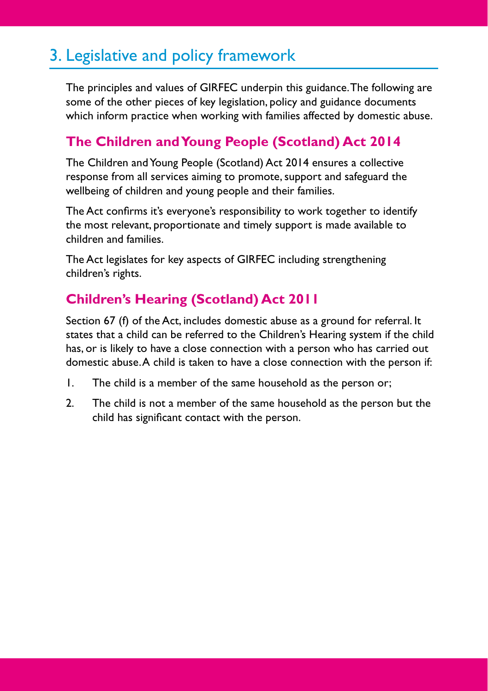## 3. Legislative and policy framework

The principles and values of GIRFEC underpin this guidance. The following are some of the other pieces of key legislation, policy and guidance documents which inform practice when working with families affected by domestic abuse.

## **The Children and Young People (Scotland) Act 2014**

The Children and Young People (Scotland) Act 2014 ensures a collective response from all services aiming to promote, support and safeguard the wellbeing of children and young people and their families.

The Act confirms it's everyone's responsibility to work together to identify the most relevant, proportionate and timely support is made available to children and families.

The Act legislates for key aspects of GIRFEC including strengthening children's rights.

## **Children's Hearing (Scotland) Act 2011**

Section 67 (f) of the Act, includes domestic abuse as a ground for referral. It states that a child can be referred to the Children's Hearing system if the child has, or is likely to have a close connection with a person who has carried out domestic abuse. A child is taken to have a close connection with the person if:

- 1. The child is a member of the same household as the person or;
- 2. The child is not a member of the same household as the person but the child has significant contact with the person.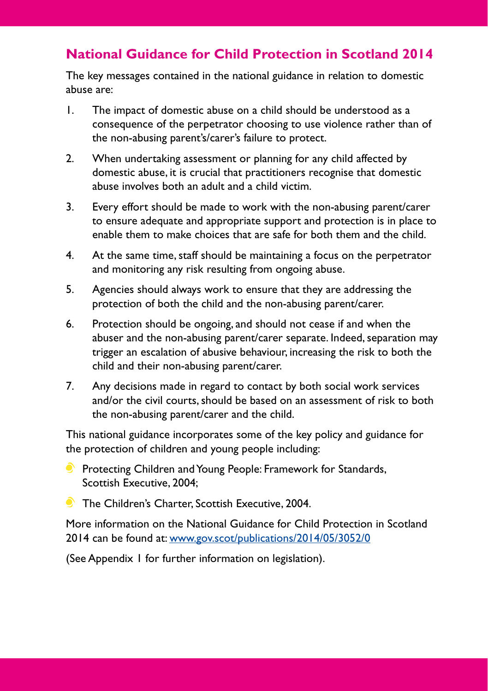## **National Guidance for Child Protection in Scotland 2014**

The key messages contained in the national guidance in relation to domestic abuse are:

- 1. The impact of domestic abuse on a child should be understood as a consequence of the perpetrator choosing to use violence rather than of the non-abusing parent's/carer's failure to protect.
- 2. When undertaking assessment or planning for any child affected by domestic abuse, it is crucial that practitioners recognise that domestic abuse involves both an adult and a child victim.
- 3. Every effort should be made to work with the non-abusing parent/carer to ensure adequate and appropriate support and protection is in place to enable them to make choices that are safe for both them and the child.
- 4. At the same time, staff should be maintaining a focus on the perpetrator and monitoring any risk resulting from ongoing abuse.
- 5. Agencies should always work to ensure that they are addressing the protection of both the child and the non-abusing parent/carer.
- 6. Protection should be ongoing, and should not cease if and when the abuser and the non-abusing parent/carer separate. Indeed, separation may trigger an escalation of abusive behaviour, increasing the risk to both the child and their non-abusing parent/carer.
- 7. Any decisions made in regard to contact by both social work services and/or the civil courts, should be based on an assessment of risk to both the non-abusing parent/carer and the child.

This national guidance incorporates some of the key policy and guidance for the protection of children and young people including:

- **Protecting Children and Young People: Framework for Standards,** Scottish Executive, 2004;
- **The Children's Charter, Scottish Executive, 2004.**

More information on the National Guidance for Child Protection in Scotland 2014 can be found at: [www.gov.scot/publications/2014/05/3052/0](http://www.gov.scot/publications/2014/05/3052/0)

(See Appendix 1 for further information on legislation).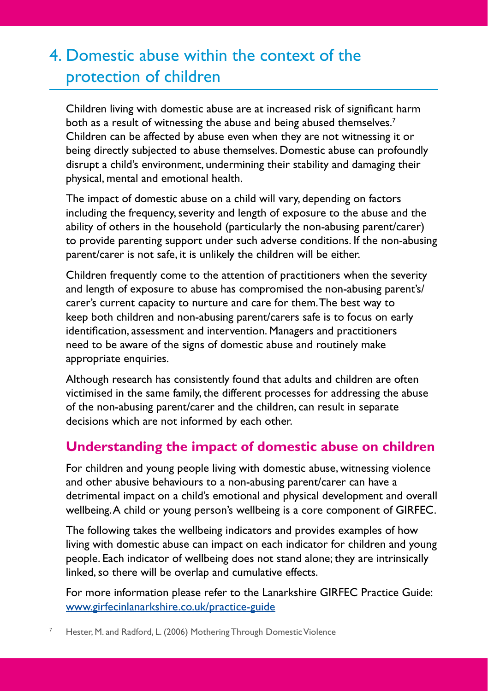## 4. Domestic abuse within the context of the protection of children

Children living with domestic abuse are at increased risk of significant harm both as a result of witnessing the abuse and being abused themselves.<sup>7</sup> Children can be affected by abuse even when they are not witnessing it or being directly subjected to abuse themselves. Domestic abuse can profoundly disrupt a child's environment, undermining their stability and damaging their physical, mental and emotional health.

The impact of domestic abuse on a child will vary, depending on factors including the frequency, severity and length of exposure to the abuse and the ability of others in the household (particularly the non-abusing parent/carer) to provide parenting support under such adverse conditions. If the non-abusing parent/carer is not safe, it is unlikely the children will be either.

Children frequently come to the attention of practitioners when the severity and length of exposure to abuse has compromised the non-abusing parent's/ carer's current capacity to nurture and care for them. The best way to keep both children and non-abusing parent/carers safe is to focus on early identification, assessment and intervention. Managers and practitioners need to be aware of the signs of domestic abuse and routinely make appropriate enquiries.

Although research has consistently found that adults and children are often victimised in the same family, the different processes for addressing the abuse of the non-abusing parent/carer and the children, can result in separate decisions which are not informed by each other.

## **Understanding the impact of domestic abuse on children**

For children and young people living with domestic abuse, witnessing violence and other abusive behaviours to a non-abusing parent/carer can have a detrimental impact on a child's emotional and physical development and overall wellbeing. A child or young person's wellbeing is a core component of GIRFEC.

The following takes the wellbeing indicators and provides examples of how living with domestic abuse can impact on each indicator for children and young people. Each indicator of wellbeing does not stand alone; they are intrinsically linked, so there will be overlap and cumulative effects.

For more information please refer to the Lanarkshire GIRFEC Practice Guide: [www.girfecinlanarkshire.co.uk/practice-guide](http://www.girfecinlanarkshire.co.uk/practice-guide)

Hester, M. and Radford, L. (2006) Mothering Through Domestic Violence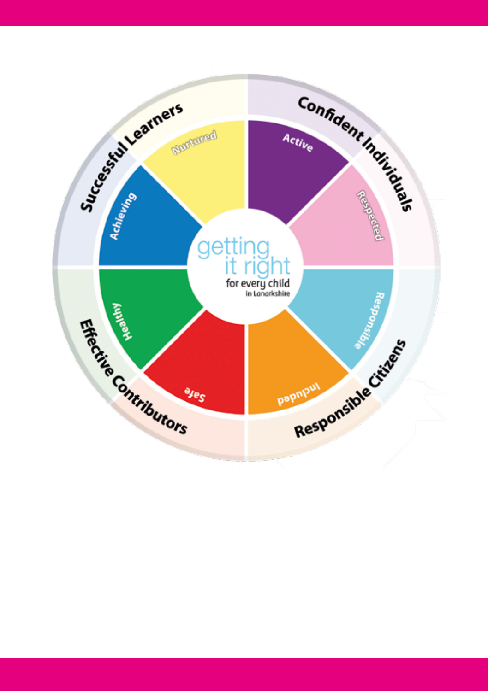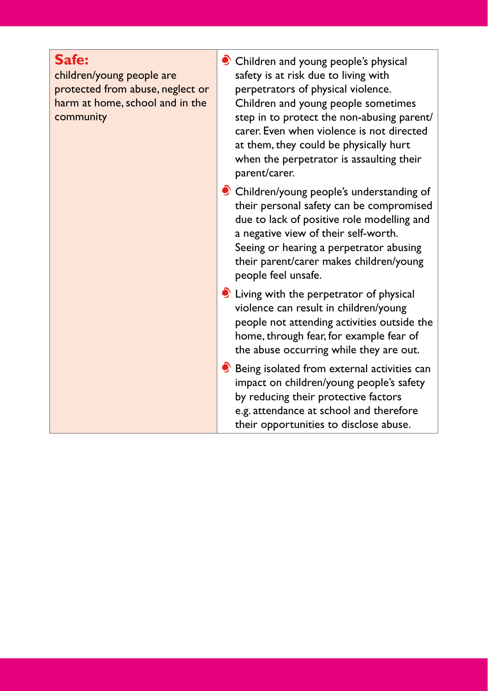### **Safe:**

children/young people are protected from abuse, neglect or harm at home, school and in the community

- Children and young people's physical safety is at risk due to living with perpetrators of physical violence. Children and young people sometimes step in to protect the non-abusing parent/ carer. Even when violence is not directed at them, they could be physically hurt when the perpetrator is assaulting their parent/carer.
- Children/young people's understanding of their personal safety can be compromised due to lack of positive role modelling and a negative view of their self-worth. Seeing or hearing a perpetrator abusing their parent/carer makes children/young people feel unsafe.
- Living with the perpetrator of physical violence can result in children/young people not attending activities outside the home, through fear, for example fear of the abuse occurring while they are out.
- $\bullet$  Being isolated from external activities can impact on children/young people's safety by reducing their protective factors e.g. attendance at school and therefore their opportunities to disclose abuse.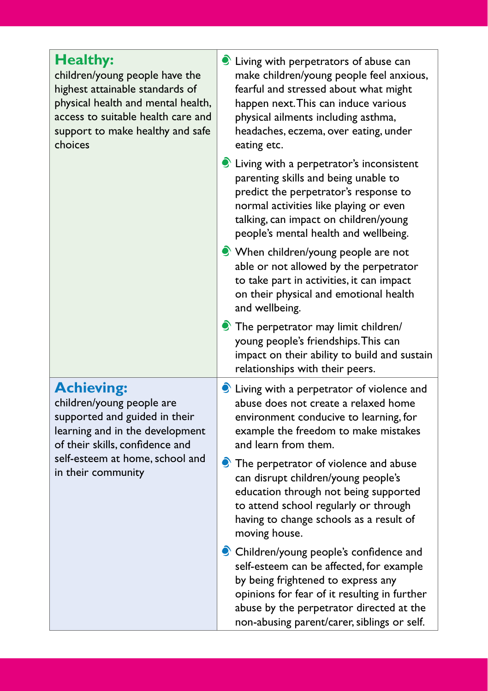| <b>Healthy:</b><br>children/young people have the<br>highest attainable standards of<br>physical health and mental health,<br>access to suitable health care and<br>support to make healthy and safe<br>choices | living with perpetrators of abuse can<br>make children/young people feel anxious,<br>fearful and stressed about what might<br>happen next. This can induce various<br>physical ailments including asthma,<br>headaches, eczema, over eating, under<br>eating etc.   |  |
|-----------------------------------------------------------------------------------------------------------------------------------------------------------------------------------------------------------------|---------------------------------------------------------------------------------------------------------------------------------------------------------------------------------------------------------------------------------------------------------------------|--|
|                                                                                                                                                                                                                 | living with a perpetrator's inconsistent<br>parenting skills and being unable to<br>predict the perpetrator's response to<br>normal activities like playing or even<br>talking, can impact on children/young<br>people's mental health and wellbeing.               |  |
|                                                                                                                                                                                                                 | • When children/young people are not<br>able or not allowed by the perpetrator<br>to take part in activities, it can impact<br>on their physical and emotional health<br>and wellbeing.                                                                             |  |
|                                                                                                                                                                                                                 | The perpetrator may limit children/<br>young people's friendships. This can<br>impact on their ability to build and sustain<br>relationships with their peers.                                                                                                      |  |
| <b>Achieving:</b><br>children/young people are<br>supported and guided in their<br>learning and in the development<br>of their skills, confidence and                                                           | living with a perpetrator of violence and<br>abuse does not create a relaxed home<br>environment conducive to learning, for<br>example the freedom to make mistakes<br>and learn from them.                                                                         |  |
| self-esteem at home, school and<br>in their community                                                                                                                                                           | $\bullet$ The perpetrator of violence and abuse<br>can disrupt children/young people's<br>education through not being supported<br>to attend school regularly or through<br>having to change schools as a result of<br>moving house.                                |  |
|                                                                                                                                                                                                                 | Children/young people's confidence and<br>self-esteem can be affected, for example<br>by being frightened to express any<br>opinions for fear of it resulting in further<br>abuse by the perpetrator directed at the<br>non-abusing parent/carer, siblings or self. |  |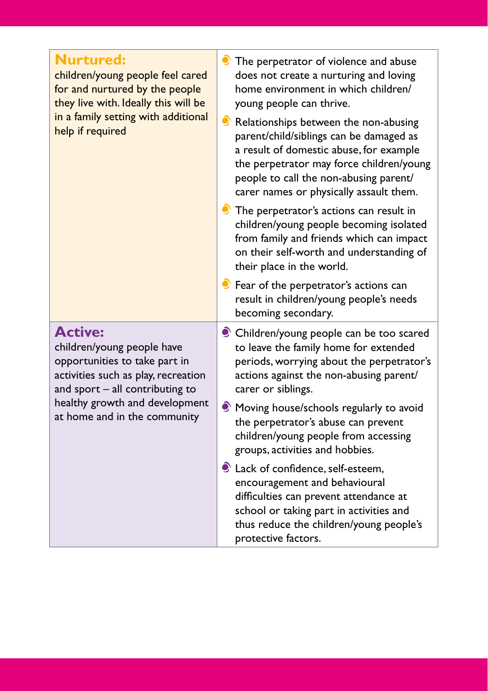| <b>Nurtured:</b><br>children/young people feel cared<br>for and nurtured by the people<br>they live with. Ideally this will be<br>in a family setting with additional<br>help if required                                   | The perpetrator of violence and abuse<br>does not create a nurturing and loving<br>home environment in which children/<br>young people can thrive.<br>$\bullet$ Relationships between the non-abusing<br>parent/child/siblings can be damaged as<br>a result of domestic abuse, for example<br>the perpetrator may force children/young<br>people to call the non-abusing parent/<br>carer names or physically assault them.<br>$\bullet$ The perpetrator's actions can result in<br>children/young people becoming isolated<br>from family and friends which can impact<br>on their self-worth and understanding of<br>their place in the world.<br>Since Fear of the perpetrator's actions can<br>result in children/young people's needs<br>becoming secondary. |
|-----------------------------------------------------------------------------------------------------------------------------------------------------------------------------------------------------------------------------|--------------------------------------------------------------------------------------------------------------------------------------------------------------------------------------------------------------------------------------------------------------------------------------------------------------------------------------------------------------------------------------------------------------------------------------------------------------------------------------------------------------------------------------------------------------------------------------------------------------------------------------------------------------------------------------------------------------------------------------------------------------------|
| <b>Active:</b><br>children/young people have<br>opportunities to take part in<br>activities such as play, recreation<br>and sport $-$ all contributing to<br>healthy growth and development<br>at home and in the community | Children/young people can be too scared<br>to leave the family home for extended<br>periods, worrying about the perpetrator's<br>actions against the non-abusing parent/<br>carer or siblings.<br>Moving house/schools regularly to avoid<br>the perpetrator's abuse can prevent<br>children/young people from accessing<br>groups, activities and hobbies.                                                                                                                                                                                                                                                                                                                                                                                                        |
|                                                                                                                                                                                                                             | Lack of confidence, self-esteem,<br>encouragement and behavioural<br>difficulties can prevent attendance at<br>school or taking part in activities and<br>thus reduce the children/young people's<br>protective factors.                                                                                                                                                                                                                                                                                                                                                                                                                                                                                                                                           |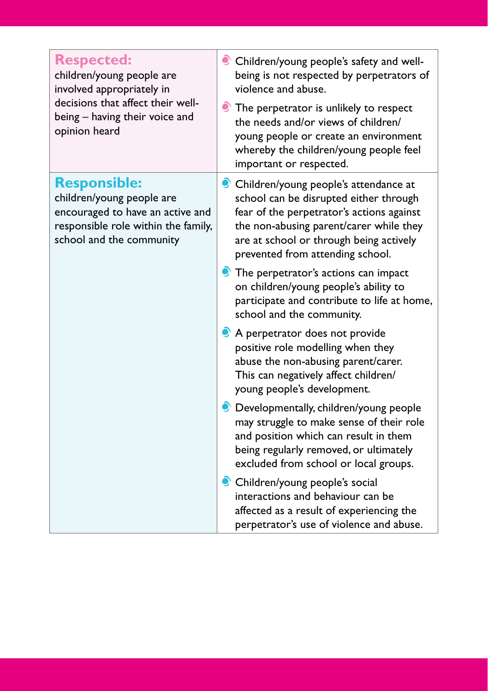| <b>Respected:</b><br>children/young people are<br>involved appropriately in<br>decisions that affect their well-<br>being - having their voice and<br>opinion heard | Children/young people's safety and well-<br>being is not respected by perpetrators of<br>violence and abuse.<br>$\bullet$ The perpetrator is unlikely to respect<br>the needs and/or views of children/<br>young people or create an environment<br>whereby the children/young people feel<br>important or respected. |
|---------------------------------------------------------------------------------------------------------------------------------------------------------------------|-----------------------------------------------------------------------------------------------------------------------------------------------------------------------------------------------------------------------------------------------------------------------------------------------------------------------|
| <b>Responsible:</b><br>children/young people are<br>encouraged to have an active and<br>responsible role within the family,<br>school and the community             | Children/young people's attendance at<br>school can be disrupted either through<br>fear of the perpetrator's actions against<br>the non-abusing parent/carer while they<br>are at school or through being actively<br>prevented from attending school.                                                                |
|                                                                                                                                                                     | The perpetrator's actions can impact<br>on children/young people's ability to<br>participate and contribute to life at home,<br>school and the community.                                                                                                                                                             |
|                                                                                                                                                                     | A perpetrator does not provide<br>positive role modelling when they<br>abuse the non-abusing parent/carer.<br>This can negatively affect children/<br>young people's development.                                                                                                                                     |
|                                                                                                                                                                     | • Developmentally, children/young people<br>may struggle to make sense of their role<br>and position which can result in them<br>being regularly removed, or ultimately<br>excluded from school or local groups.                                                                                                      |
|                                                                                                                                                                     | Children/young people's social<br>interactions and behaviour can be<br>affected as a result of experiencing the<br>perpetrator's use of violence and abuse.                                                                                                                                                           |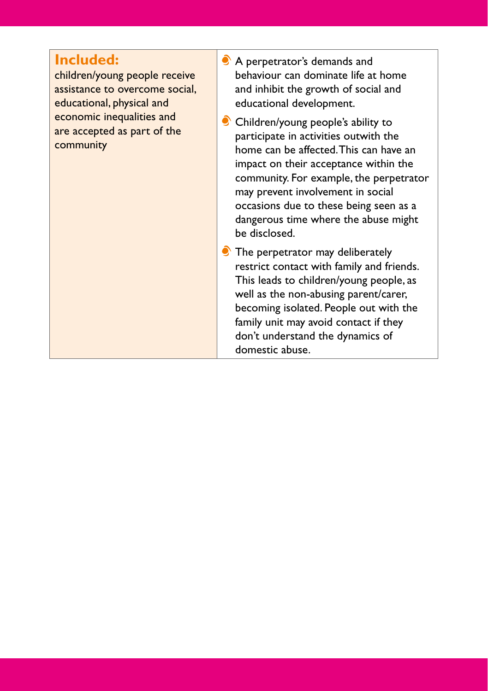## **Included:**

children/young people receive assistance to overcome social, educational, physical and economic inequalities and are accepted as part of the community

- A perpetrator's demands and behaviour can dominate life at home and inhibit the growth of social and educational development.
- Children/young people's ability to participate in activities outwith the home can be affected. This can have an impact on their acceptance within the community. For example, the perpetrator may prevent involvement in social occasions due to these being seen as a dangerous time where the abuse might be disclosed.
- The perpetrator may deliberately restrict contact with family and friends. This leads to children/young people, as well as the non-abusing parent/carer, becoming isolated. People out with the family unit may avoid contact if they don't understand the dynamics of domestic abuse.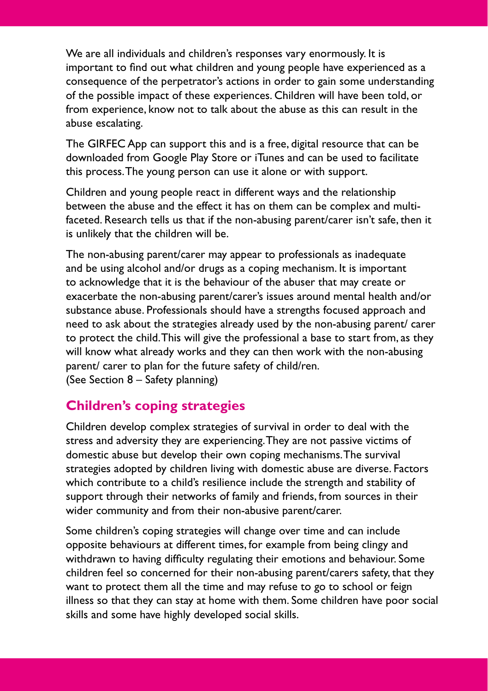We are all individuals and children's responses vary enormously. It is important to find out what children and young people have experienced as a consequence of the perpetrator's actions in order to gain some understanding of the possible impact of these experiences. Children will have been told, or from experience, know not to talk about the abuse as this can result in the abuse escalating.

The GIRFEC App can support this and is a free, digital resource that can be downloaded from Google Play Store or iTunes and can be used to facilitate this process. The young person can use it alone or with support.

Children and young people react in different ways and the relationship between the abuse and the effect it has on them can be complex and multifaceted. Research tells us that if the non-abusing parent/carer isn't safe, then it is unlikely that the children will be.

The non-abusing parent/carer may appear to professionals as inadequate and be using alcohol and/or drugs as a coping mechanism. It is important to acknowledge that it is the behaviour of the abuser that may create or exacerbate the non-abusing parent/carer's issues around mental health and/or substance abuse. Professionals should have a strengths focused approach and need to ask about the strategies already used by the non-abusing parent/ carer to protect the child. This will give the professional a base to start from, as they will know what already works and they can then work with the non-abusing parent/ carer to plan for the future safety of child/ren. (See Section 8 – Safety planning)

### **Children's coping strategies**

Children develop complex strategies of survival in order to deal with the stress and adversity they are experiencing. They are not passive victims of domestic abuse but develop their own coping mechanisms. The survival strategies adopted by children living with domestic abuse are diverse. Factors which contribute to a child's resilience include the strength and stability of support through their networks of family and friends, from sources in their wider community and from their non-abusive parent/carer.

Some children's coping strategies will change over time and can include opposite behaviours at different times, for example from being clingy and withdrawn to having difficulty regulating their emotions and behaviour. Some children feel so concerned for their non-abusing parent/carers safety, that they want to protect them all the time and may refuse to go to school or feign illness so that they can stay at home with them. Some children have poor social skills and some have highly developed social skills.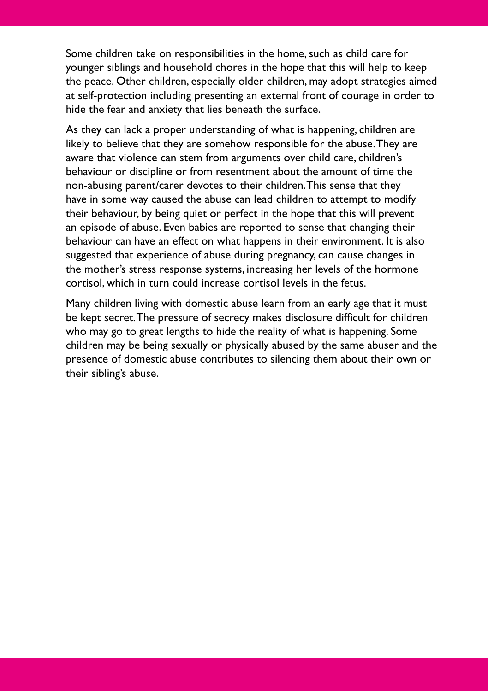Some children take on responsibilities in the home, such as child care for younger siblings and household chores in the hope that this will help to keep the peace. Other children, especially older children, may adopt strategies aimed at self-protection including presenting an external front of courage in order to hide the fear and anxiety that lies beneath the surface.

As they can lack a proper understanding of what is happening, children are likely to believe that they are somehow responsible for the abuse. They are aware that violence can stem from arguments over child care, children's behaviour or discipline or from resentment about the amount of time the non-abusing parent/carer devotes to their children. This sense that they have in some way caused the abuse can lead children to attempt to modify their behaviour, by being quiet or perfect in the hope that this will prevent an episode of abuse. Even babies are reported to sense that changing their behaviour can have an effect on what happens in their environment. It is also suggested that experience of abuse during pregnancy, can cause changes in the mother's stress response systems, increasing her levels of the hormone cortisol, which in turn could increase cortisol levels in the fetus.

Many children living with domestic abuse learn from an early age that it must be kept secret. The pressure of secrecy makes disclosure difficult for children who may go to great lengths to hide the reality of what is happening. Some children may be being sexually or physically abused by the same abuser and the presence of domestic abuse contributes to silencing them about their own or their sibling's abuse.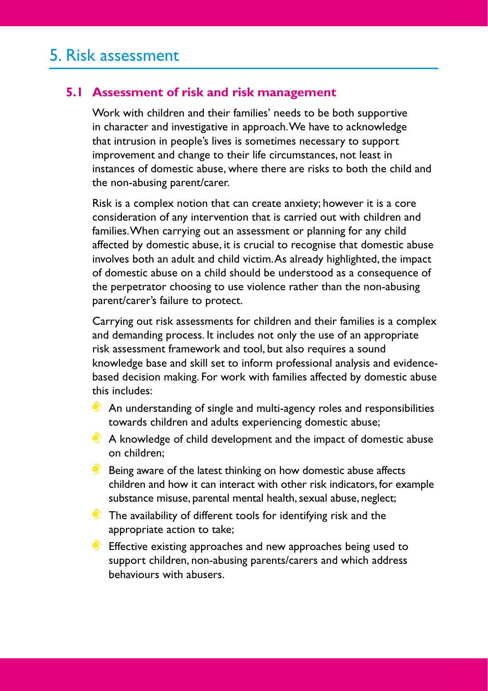### **5.1 Assessment of risk and risk management**

Work with children and their families' needs to be both supportive in character and investigative in approach. We have to acknowledge that intrusion in people's lives is sometimes necessary to support improvement and change to their life circumstances, not least in instances of domestic abuse, where there are risks to both the child and the non-abusing parent/carer.

Risk is a complex notion that can create anxiety; however it is a core consideration of any intervention that is carried out with children and families. When carrying out an assessment or planning for any child affected by domestic abuse, it is crucial to recognise that domestic abuse involves both an adult and child victim. As already highlighted, the impact of domestic abuse on a child should be understood as a consequence of the perpetrator choosing to use violence rather than the non-abusing parent/carer's failure to protect.

Carrying out risk assessments for children and their families is a complex and demanding process. It includes not only the use of an appropriate risk assessment framework and tool, but also requires a sound knowledge base and skill set to inform professional analysis and evidencebased decision making. For work with families affected by domestic abuse this includes:

- $\bullet$  An understanding of single and multi-agency roles and responsibilities towards children and adults experiencing domestic abuse;
- A knowledge of child development and the impact of domestic abuse on children;
- $\bullet$  Being aware of the latest thinking on how domestic abuse affects children and how it can interact with other risk indicators, for example substance misuse, parental mental health, sexual abuse, neglect;
- $\bullet$  The availability of different tools for identifying risk and the appropriate action to take;
- **Effective existing approaches and new approaches being used to** support children, non-abusing parents/carers and which address behaviours with abusers.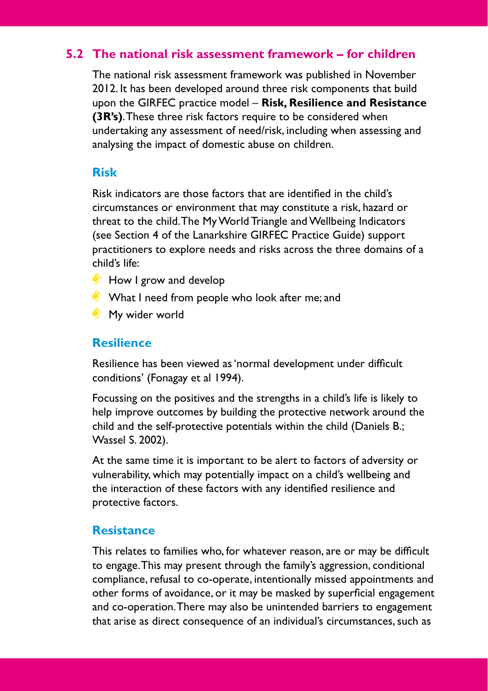### **5.2 The national risk assessment framework – for children**

The national risk assessment framework was published in November 2012. It has been developed around three risk components that build upon the GIRFEC practice model – **Risk, Resilience and Resistance (3R's)**. These three risk factors require to be considered when undertaking any assessment of need/risk, including when assessing and analysing the impact of domestic abuse on children.

#### **Risk**

Risk indicators are those factors that are identified in the child's circumstances or environment that may constitute a risk, hazard or threat to the child. The My World Triangle and Wellbeing Indicators (see Section 4 of the Lanarkshire GIRFEC Practice Guide) support practitioners to explore needs and risks across the three domains of a child's life:

- $\bullet$  How I grow and develop
- What I need from people who look after me; and
- **My wider world**

#### **Resilience**

Resilience has been viewed as 'normal development under difficult conditions' (Fonagay et al 1994).

Focussing on the positives and the strengths in a child's life is likely to help improve outcomes by building the protective network around the child and the self-protective potentials within the child (Daniels B.; Wassel S. 2002).

At the same time it is important to be alert to factors of adversity or vulnerability, which may potentially impact on a child's wellbeing and the interaction of these factors with any identified resilience and protective factors.

#### **Resistance**

This relates to families who, for whatever reason, are or may be difficult to engage. This may present through the family's aggression, conditional compliance, refusal to co-operate, intentionally missed appointments and other forms of avoidance, or it may be masked by superficial engagement and co-operation. There may also be unintended barriers to engagement that arise as direct consequence of an individual's circumstances, such as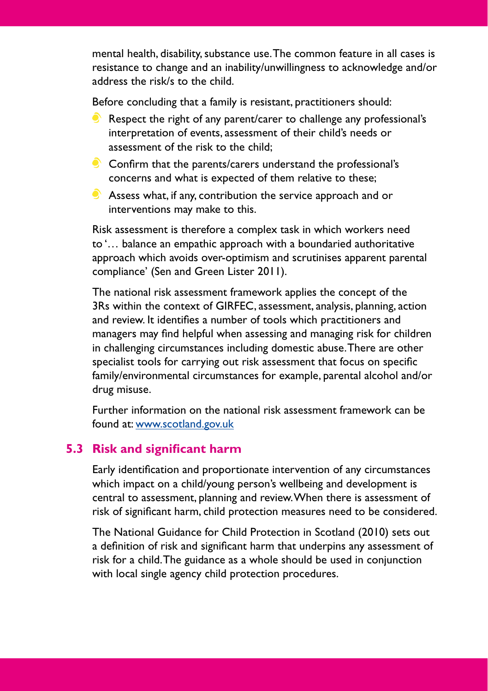mental health, disability, substance use. The common feature in all cases is resistance to change and an inability/unwillingness to acknowledge and/or address the risk/s to the child.

Before concluding that a family is resistant, practitioners should:

- Respect the right of any parent/carer to challenge any professional's interpretation of events, assessment of their child's needs or assessment of the risk to the child;
- $\bullet$  Confirm that the parents/carers understand the professional's concerns and what is expected of them relative to these;
- Assess what, if any, contribution the service approach and or interventions may make to this.

Risk assessment is therefore a complex task in which workers need to '… balance an empathic approach with a boundaried authoritative approach which avoids over-optimism and scrutinises apparent parental compliance' (Sen and Green Lister 2011).

The national risk assessment framework applies the concept of the 3Rs within the context of GIRFEC, assessment, analysis, planning, action and review. It identifies a number of tools which practitioners and managers may find helpful when assessing and managing risk for children in challenging circumstances including domestic abuse. There are other specialist tools for carrying out risk assessment that focus on specific family/environmental circumstances for example, parental alcohol and/or drug misuse.

Further information on the national risk assessment framework can be found at: [www.scotland.gov.uk](http://www.scotland.gov.uk)

### **5.3 Risk and significant harm**

Early identification and proportionate intervention of any circumstances which impact on a child/young person's wellbeing and development is central to assessment, planning and review. When there is assessment of risk of significant harm, child protection measures need to be considered.

The National Guidance for Child Protection in Scotland (2010) sets out a definition of risk and significant harm that underpins any assessment of risk for a child. The guidance as a whole should be used in conjunction with local single agency child protection procedures.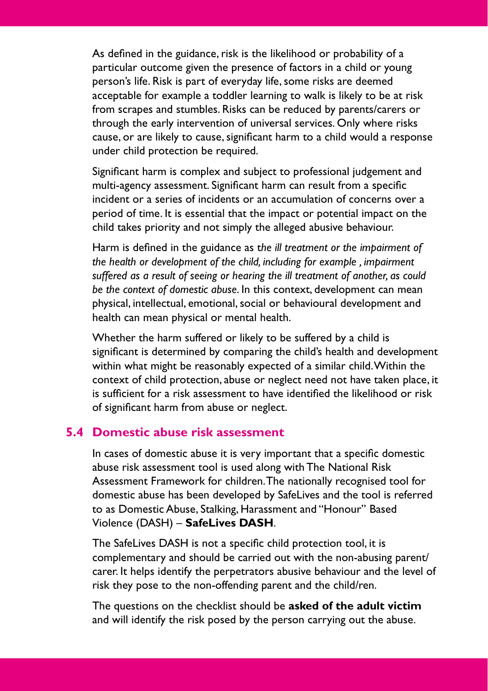As defined in the guidance, risk is the likelihood or probability of a particular outcome given the presence of factors in a child or young person's life. Risk is part of everyday life, some risks are deemed acceptable for example a toddler learning to walk is likely to be at risk from scrapes and stumbles. Risks can be reduced by parents/carers or through the early intervention of universal services. Only where risks cause, or are likely to cause, significant harm to a child would a response under child protection be required.

Significant harm is complex and subject to professional judgement and multi-agency assessment. Significant harm can result from a specific incident or a series of incidents or an accumulation of concerns over a period of time. It is essential that the impact or potential impact on the child takes priority and not simply the alleged abusive behaviour.

Harm is defined in the guidance as t*he ill treatment or the impairment of the health or development of the child, including for example , impairment suffered as a result of seeing or hearing the ill treatment of another, as could be the context of domestic abuse*. In this context, development can mean physical, intellectual, emotional, social or behavioural development and health can mean physical or mental health.

Whether the harm suffered or likely to be suffered by a child is significant is determined by comparing the child's health and development within what might be reasonably expected of a similar child. Within the context of child protection, abuse or neglect need not have taken place, it is sufficient for a risk assessment to have identified the likelihood or risk of significant harm from abuse or neglect.

#### **5.4 Domestic abuse risk assessment**

In cases of domestic abuse it is very important that a specific domestic abuse risk assessment tool is used along with The National Risk Assessment Framework for children. The nationally recognised tool for domestic abuse has been developed by SafeLives and the tool is referred to as Domestic Abuse, Stalking, Harassment and "Honour" Based Violence (DASH) – **SafeLives DASH**.

The SafeLives DASH is not a specific child protection tool, it is complementary and should be carried out with the non-abusing parent/ carer. It helps identify the perpetrators abusive behaviour and the level of risk they pose to the non-offending parent and the child/ren.

The questions on the checklist should be **asked of the adult victim** and will identify the risk posed by the person carrying out the abuse.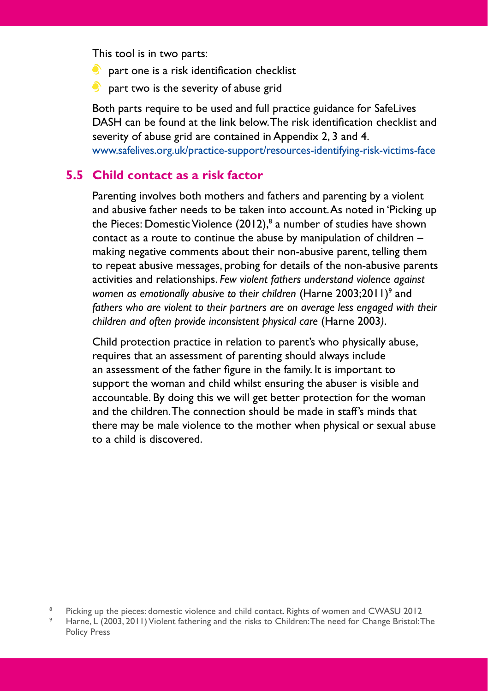This tool is in two parts:

- **part one is a risk identification checklist**
- $\bullet$  part two is the severity of abuse grid

Both parts require to be used and full practice guidance for SafeLives DASH can be found at the link below. The risk identification checklist and severity of abuse grid are contained in Appendix 2, 3 and 4. [www.safelives.org.uk/practice-support/resources-identifying-risk-victims-face](http://www.safelives.org.uk/practice-support/resources-identifying-risk-victims-face)

#### **5.5 Child contact as a risk factor**

Parenting involves both mothers and fathers and parenting by a violent and abusive father needs to be taken into account. As noted in 'Picking up the Pieces: Domestic Violence  $(2012)^{8}$  a number of studies have shown contact as a route to continue the abuse by manipulation of children – making negative comments about their non-abusive parent, telling them to repeat abusive messages, probing for details of the non-abusive parents activities and relationships. *Few violent fathers understand violence against*  women as emotionally abusive to their children (Harne 2003;2011)<sup>9</sup> and *fathers who are violent to their partners are on average less engaged with their children and often provide inconsistent physical care* (Harne 2003*)*.

Child protection practice in relation to parent's who physically abuse, requires that an assessment of parenting should always include an assessment of the father figure in the family. It is important to support the woman and child whilst ensuring the abuser is visible and accountable. By doing this we will get better protection for the woman and the children. The connection should be made in staff's minds that there may be male violence to the mother when physical or sexual abuse to a child is discovered.

<sup>&</sup>lt;sup>8</sup> Picking up the pieces: domestic violence and child contact. Rights of women and CWASU 2012

Harne, L (2003, 2011) Violent fathering and the risks to Children: The need for Change Bristol: The Policy Press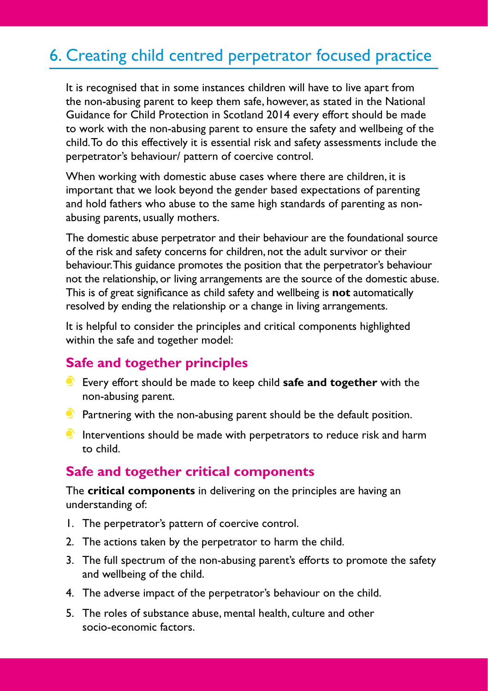## 6. Creating child centred perpetrator focused practice

It is recognised that in some instances children will have to live apart from the non-abusing parent to keep them safe, however, as stated in the National Guidance for Child Protection in Scotland 2014 every effort should be made to work with the non-abusing parent to ensure the safety and wellbeing of the child. To do this effectively it is essential risk and safety assessments include the perpetrator's behaviour/ pattern of coercive control.

When working with domestic abuse cases where there are children, it is important that we look beyond the gender based expectations of parenting and hold fathers who abuse to the same high standards of parenting as nonabusing parents, usually mothers.

The domestic abuse perpetrator and their behaviour are the foundational source of the risk and safety concerns for children, not the adult survivor or their behaviour. This guidance promotes the position that the perpetrator's behaviour not the relationship, or living arrangements are the source of the domestic abuse. This is of great significance as child safety and wellbeing is **not** automatically resolved by ending the relationship or a change in living arrangements.

It is helpful to consider the principles and critical components highlighted within the safe and together model:

### **Safe and together principles**

- Every effort should be made to keep child **safe and together** with the non-abusing parent.
- $\bullet$  Partnering with the non-abusing parent should be the default position.
- Interventions should be made with perpetrators to reduce risk and harm to child.

### **Safe and together critical components**

The **critical components** in delivering on the principles are having an understanding of:

- 1. The perpetrator's pattern of coercive control.
- 2. The actions taken by the perpetrator to harm the child.
- 3. The full spectrum of the non-abusing parent's efforts to promote the safety and wellbeing of the child.
- 4. The adverse impact of the perpetrator's behaviour on the child.
- 5. The roles of substance abuse, mental health, culture and other socio-economic factors.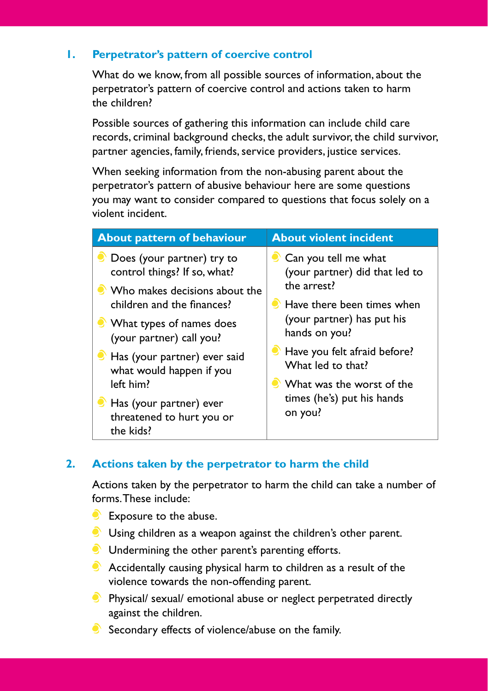#### **1. Perpetrator's pattern of coercive control**

What do we know, from all possible sources of information, about the perpetrator's pattern of coercive control and actions taken to harm the children?

Possible sources of gathering this information can include child care records, criminal background checks, the adult survivor, the child survivor, partner agencies, family, friends, service providers, justice services.

When seeking information from the non-abusing parent about the perpetrator's pattern of abusive behaviour here are some questions you may want to consider compared to questions that focus solely on a violent incident.

| <b>About pattern of behaviour</b>                                 | <b>About violent incident</b>         |  |  |
|-------------------------------------------------------------------|---------------------------------------|--|--|
| C Does (your partner) try to                                      | Can you tell me what                  |  |  |
| control things? If so, what?                                      | (your partner) did that led to        |  |  |
| Who makes decisions about the                                     | the arrest?                           |  |  |
| children and the finances?                                        | $\bullet$ Have there been times when  |  |  |
| <b>What types of names does</b>                                   | (your partner) has put his            |  |  |
| (your partner) call you?                                          | hands on you?                         |  |  |
| Has (your partner) ever said                                      | Have you felt afraid before?          |  |  |
| what would happen if you                                          | What led to that?                     |  |  |
| left him?                                                         | • What was the worst of the           |  |  |
| Has (your partner) ever<br>threatened to hurt you or<br>the kids? | times (he's) put his hands<br>on you? |  |  |

#### **2. Actions taken by the perpetrator to harm the child**

Actions taken by the perpetrator to harm the child can take a number of forms. These include:

- **Exposure to the abuse.**
- Using children as a weapon against the children's other parent.
- **Undermining the other parent's parenting efforts.**
- $\bullet$  Accidentally causing physical harm to children as a result of the violence towards the non-offending parent.
- **•** Physical/ sexual/ emotional abuse or neglect perpetrated directly against the children.
- $\bullet$  Secondary effects of violence/abuse on the family.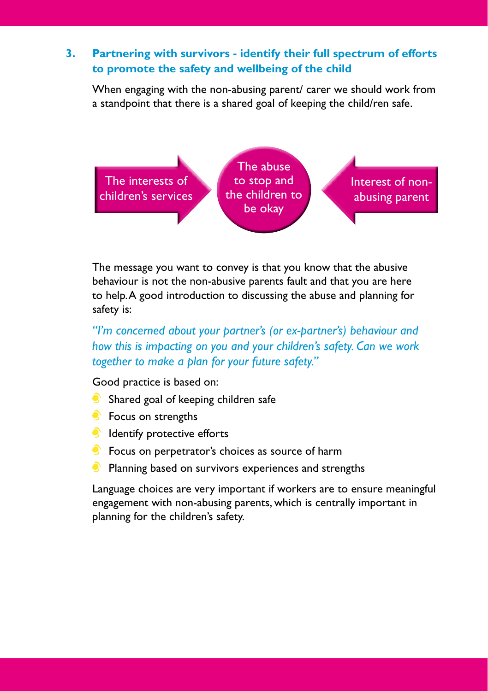#### **3. Partnering with survivors - identify their full spectrum of efforts to promote the safety and wellbeing of the child**

When engaging with the non-abusing parent/ carer we should work from a standpoint that there is a shared goal of keeping the child/ren safe.



The message you want to convey is that you know that the abusive behaviour is not the non-abusive parents fault and that you are here to help. A good introduction to discussing the abuse and planning for safety is:

*"I'm concerned about your partner's (or ex-partner's) behaviour and how this is impacting on you and your children's safety. Can we work together to make a plan for your future safety."* 

Good practice is based on:

- Shared goal of keeping children safe
- **S** Focus on strengths
- **Identify protective efforts**
- **Focus on perpetrator's choices as source of harm**
- $\bullet$  Planning based on survivors experiences and strengths

Language choices are very important if workers are to ensure meaningful engagement with non-abusing parents, which is centrally important in planning for the children's safety.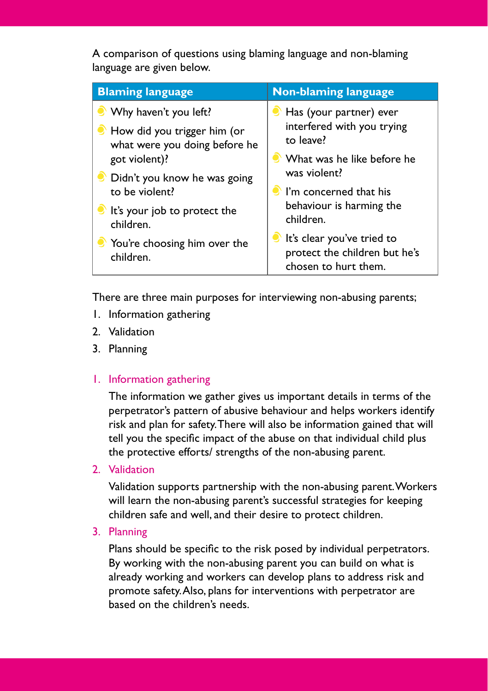A comparison of questions using blaming language and non-blaming language are given below.

| <b>Blaming language</b>                                      | <b>Non-blaming language</b>                                                         |  |  |
|--------------------------------------------------------------|-------------------------------------------------------------------------------------|--|--|
| Why haven't you left?                                        | Has (your partner) ever                                                             |  |  |
| How did you trigger him (or<br>what were you doing before he | interfered with you trying<br>to leave?                                             |  |  |
| got violent)?                                                | ● What was he like before he                                                        |  |  |
| C Didn't you know he was going                               | was violent?                                                                        |  |  |
| to be violent?                                               | I'm concerned that his                                                              |  |  |
| It's your job to protect the<br>children.                    | behaviour is harming the<br>children.                                               |  |  |
| You're choosing him over the<br>children.                    | It's clear you've tried to<br>protect the children but he's<br>chosen to hurt them. |  |  |

There are three main purposes for interviewing non-abusing parents;

- 1. Information gathering
- 2. Validation
- 3. Planning
- 1. Information gathering

The information we gather gives us important details in terms of the perpetrator's pattern of abusive behaviour and helps workers identify risk and plan for safety. There will also be information gained that will tell you the specific impact of the abuse on that individual child plus the protective efforts/ strengths of the non-abusing parent.

2. Validation

Validation supports partnership with the non-abusing parent. Workers will learn the non-abusing parent's successful strategies for keeping children safe and well, and their desire to protect children.

3. Planning

Plans should be specific to the risk posed by individual perpetrators. By working with the non-abusing parent you can build on what is already working and workers can develop plans to address risk and promote safety. Also, plans for interventions with perpetrator are based on the children's needs.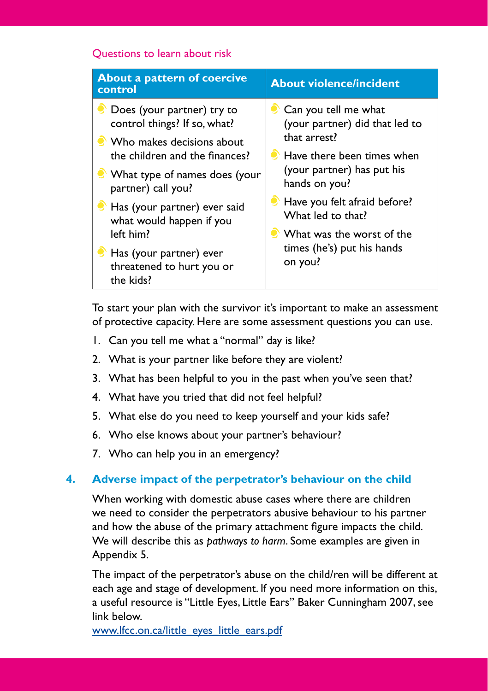#### Questions to learn about risk

| <b>About a pattern of coercive</b><br>control                     | <b>About violence/incident</b>        |  |  |
|-------------------------------------------------------------------|---------------------------------------|--|--|
| O Does (your partner) try to                                      | Can you tell me what                  |  |  |
| control things? If so, what?                                      | (your partner) did that led to        |  |  |
| • Who makes decisions about                                       | that arrest?                          |  |  |
| the children and the finances?                                    | Have there been times when            |  |  |
| What type of names does (your                                     | (your partner) has put his            |  |  |
| partner) call you?                                                | hands on you?                         |  |  |
| Has (your partner) ever said                                      | Have you felt afraid before?          |  |  |
| what would happen if you                                          | What led to that?                     |  |  |
| left him?                                                         | • What was the worst of the           |  |  |
| Has (your partner) ever<br>threatened to hurt you or<br>the kids? | times (he's) put his hands<br>on you? |  |  |

To start your plan with the survivor it's important to make an assessment of protective capacity. Here are some assessment questions you can use.

- 1. Can you tell me what a "normal" day is like?
- 2. What is your partner like before they are violent?
- 3. What has been helpful to you in the past when you've seen that?
- 4. What have you tried that did not feel helpful?
- 5. What else do you need to keep yourself and your kids safe?
- 6. Who else knows about your partner's behaviour?
- 7. Who can help you in an emergency?

#### **4. Adverse impact of the perpetrator's behaviour on the child**

When working with domestic abuse cases where there are children we need to consider the perpetrators abusive behaviour to his partner and how the abuse of the primary attachment figure impacts the child. We will describe this as *pathways to harm*. Some examples are given in Appendix 5.

The impact of the perpetrator's abuse on the child/ren will be different at each age and stage of development. If you need more information on this, a useful resource is "Little Eyes, Little Ears" Baker Cunningham 2007, see link below.

[www.lfcc.on.ca/little\\_eyes\\_little\\_ears.pdf](http://www.lfcc.on.ca/little_eyes_little_ears.pdf)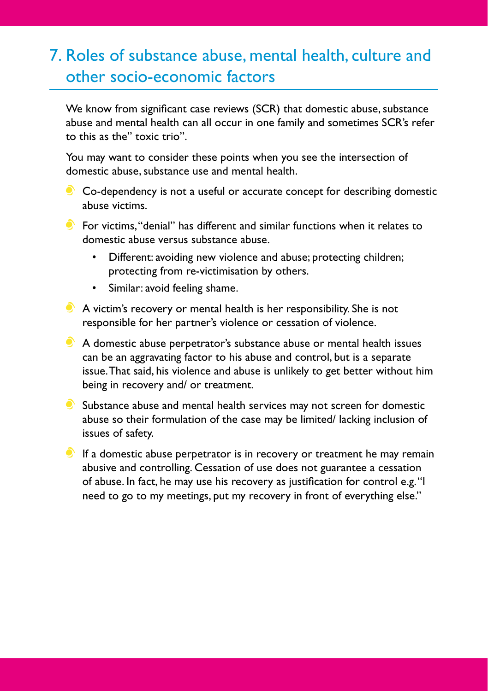## 7. Roles of substance abuse, mental health, culture and other socio-economic factors

We know from significant case reviews (SCR) that domestic abuse, substance abuse and mental health can all occur in one family and sometimes SCR's refer to this as the" toxic trio".

You may want to consider these points when you see the intersection of domestic abuse, substance use and mental health.

Co-dependency is not a useful or accurate concept for describing domestic abuse victims.

**C** For victims, "denial" has different and similar functions when it relates to domestic abuse versus substance abuse.

- Different: avoiding new violence and abuse; protecting children; protecting from re-victimisation by others.
- • Similar: avoid feeling shame.
- A victim's recovery or mental health is her responsibility. She is not responsible for her partner's violence or cessation of violence.
- A domestic abuse perpetrator's substance abuse or mental health issues can be an aggravating factor to his abuse and control, but is a separate issue. That said, his violence and abuse is unlikely to get better without him being in recovery and/ or treatment.
- $\bullet$  Substance abuse and mental health services may not screen for domestic abuse so their formulation of the case may be limited/ lacking inclusion of issues of safety.
- $\bullet$  If a domestic abuse perpetrator is in recovery or treatment he may remain abusive and controlling. Cessation of use does not guarantee a cessation of abuse. In fact, he may use his recovery as justification for control e.g. "I need to go to my meetings, put my recovery in front of everything else."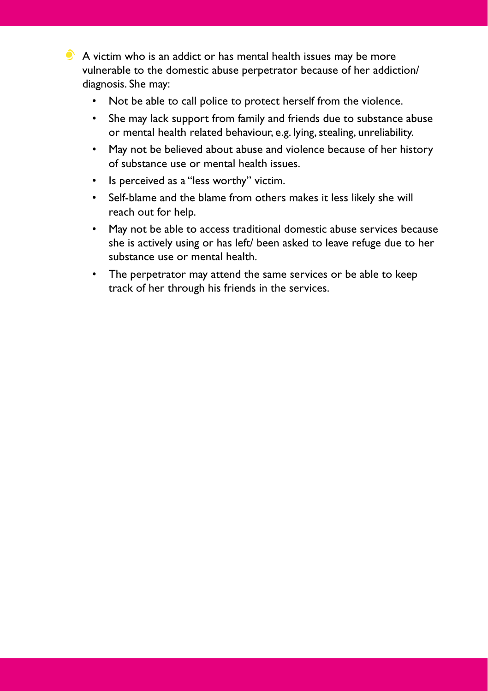$\bullet$  A victim who is an addict or has mental health issues may be more vulnerable to the domestic abuse perpetrator because of her addiction/ diagnosis. She may:

- Not be able to call police to protect herself from the violence.
- She may lack support from family and friends due to substance abuse or mental health related behaviour, e.g. lying, stealing, unreliability.
- May not be believed about abuse and violence because of her history of substance use or mental health issues.
- • Is perceived as a "less worthy" victim.
- • Self-blame and the blame from others makes it less likely she will reach out for help.
- May not be able to access traditional domestic abuse services because she is actively using or has left/ been asked to leave refuge due to her substance use or mental health.
- The perpetrator may attend the same services or be able to keep track of her through his friends in the services.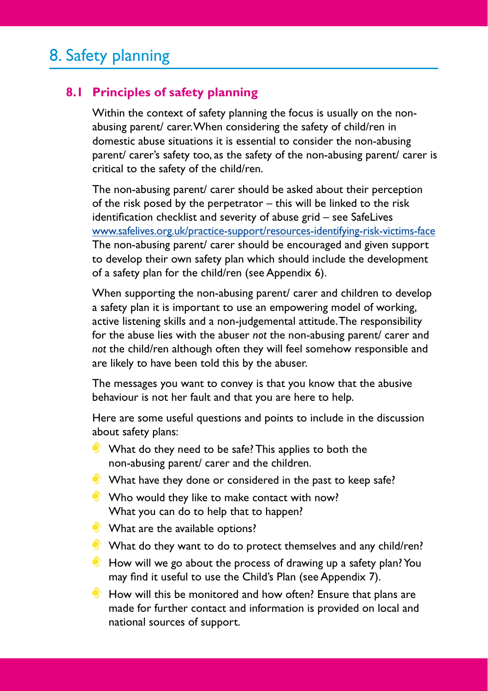## 8. Safety planning

### **8.1 Principles of safety planning**

Within the context of safety planning the focus is usually on the nonabusing parent/ carer. When considering the safety of child/ren in domestic abuse situations it is essential to consider the non-abusing parent/ carer's safety too, as the safety of the non-abusing parent/ carer is critical to the safety of the child/ren.

The non-abusing parent/ carer should be asked about their perception of the risk posed by the perpetrator – this will be linked to the risk identification checklist and severity of abuse grid – see SafeLives [www.safelives.org.uk/practice-support/resources-identifying-risk-victims-face](http://www.safelives.org.uk/practice-support/resources-identifying-risk-victims-face) The non-abusing parent/ carer should be encouraged and given support to develop their own safety plan which should include the development of a safety plan for the child/ren (see Appendix 6).

When supporting the non-abusing parent/ carer and children to develop a safety plan it is important to use an empowering model of working, active listening skills and a non-judgemental attitude. The responsibility for the abuse lies with the abuser *not* the non-abusing parent/ carer and *not* the child/ren although often they will feel somehow responsible and are likely to have been told this by the abuser.

The messages you want to convey is that you know that the abusive behaviour is not her fault and that you are here to help.

Here are some useful questions and points to include in the discussion about safety plans:

- What do they need to be safe? This applies to both the non-abusing parent/ carer and the children.
- What have they done or considered in the past to keep safe?
- Who would they like to make contact with now? What you can do to help that to happen?
- What are the available options?
- What do they want to do to protect themselves and any child/ren?
- $\bullet$  How will we go about the process of drawing up a safety plan? You may find it useful to use the Child's Plan (see Appendix 7).
- How will this be monitored and how often? Ensure that plans are made for further contact and information is provided on local and national sources of support.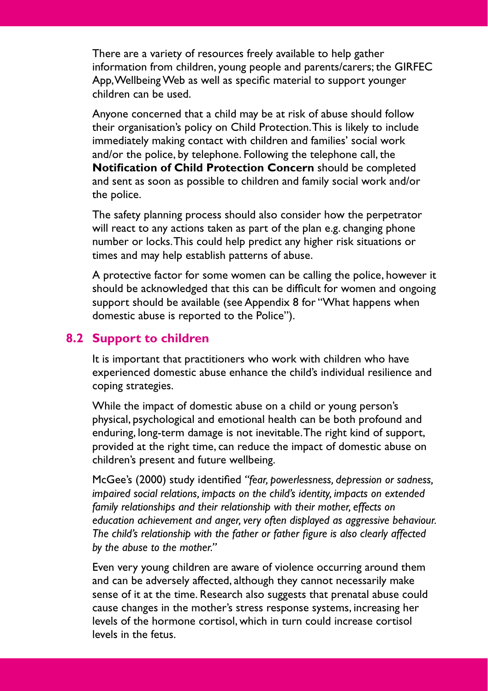There are a variety of resources freely available to help gather information from children, young people and parents/carers; the GIRFEC App, Wellbeing Web as well as specific material to support younger children can be used.

Anyone concerned that a child may be at risk of abuse should follow their organisation's policy on Child Protection. This is likely to include immediately making contact with children and families' social work and/or the police, by telephone. Following the telephone call, the **Notification of Child Protection Concern** should be completed and sent as soon as possible to children and family social work and/or the police.

The safety planning process should also consider how the perpetrator will react to any actions taken as part of the plan e.g. changing phone number or locks. This could help predict any higher risk situations or times and may help establish patterns of abuse.

A protective factor for some women can be calling the police, however it should be acknowledged that this can be difficult for women and ongoing support should be available (see Appendix 8 for "What happens when domestic abuse is reported to the Police").

#### **8.2 Support to children**

It is important that practitioners who work with children who have experienced domestic abuse enhance the child's individual resilience and coping strategies.

While the impact of domestic abuse on a child or young person's physical, psychological and emotional health can be both profound and enduring, long-term damage is not inevitable. The right kind of support, provided at the right time, can reduce the impact of domestic abuse on children's present and future wellbeing.

McGee's (2000) study identified *"fear, powerlessness, depression or sadness, impaired social relations, impacts on the child's identity, impacts on extended family relationships and their relationship with their mother, effects on education achievement and anger, very often displayed as aggressive behaviour. The child's relationship with the father or father figure is also clearly affected by the abuse to the mother."*

Even very young children are aware of violence occurring around them and can be adversely affected, although they cannot necessarily make sense of it at the time. Research also suggests that prenatal abuse could cause changes in the mother's stress response systems, increasing her levels of the hormone cortisol, which in turn could increase cortisol levels in the fetus.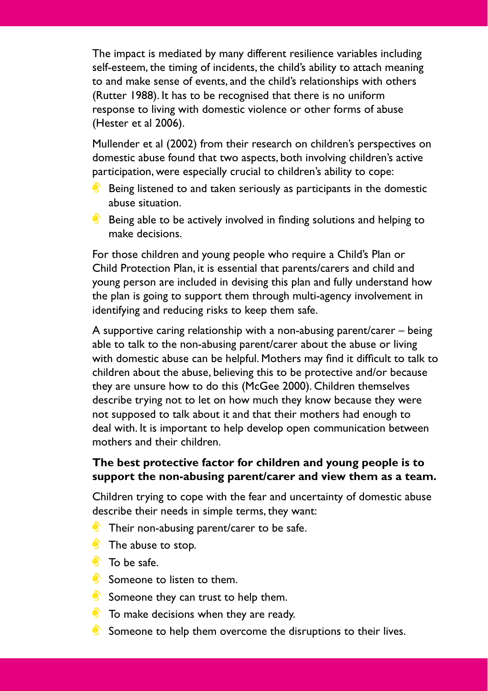The impact is mediated by many different resilience variables including self-esteem, the timing of incidents, the child's ability to attach meaning to and make sense of events, and the child's relationships with others (Rutter 1988). It has to be recognised that there is no uniform response to living with domestic violence or other forms of abuse (Hester et al 2006).

Mullender et al (2002) from their research on children's perspectives on domestic abuse found that two aspects, both involving children's active participation, were especially crucial to children's ability to cope:

- $\bullet$  Being listened to and taken seriously as participants in the domestic abuse situation.
- $\bullet$  Being able to be actively involved in finding solutions and helping to make decisions.

For those children and young people who require a Child's Plan or Child Protection Plan, it is essential that parents/carers and child and young person are included in devising this plan and fully understand how the plan is going to support them through multi-agency involvement in identifying and reducing risks to keep them safe.

A supportive caring relationship with a non-abusing parent/carer – being able to talk to the non-abusing parent/carer about the abuse or living with domestic abuse can be helpful. Mothers may find it difficult to talk to children about the abuse, believing this to be protective and/or because they are unsure how to do this (McGee 2000). Children themselves describe trying not to let on how much they know because they were not supposed to talk about it and that their mothers had enough to deal with. It is important to help develop open communication between mothers and their children.

#### **The best protective factor for children and young people is to support the non-abusing parent/carer and view them as a team.**

Children trying to cope with the fear and uncertainty of domestic abuse describe their needs in simple terms, they want:

- $\bullet$  Their non-abusing parent/carer to be safe.
- The abuse to stop.
- $\bullet$  To be safe.
- Someone to listen to them.
- $\bullet$  Someone they can trust to help them.
- To make decisions when they are ready.
- $\bullet$  Someone to help them overcome the disruptions to their lives.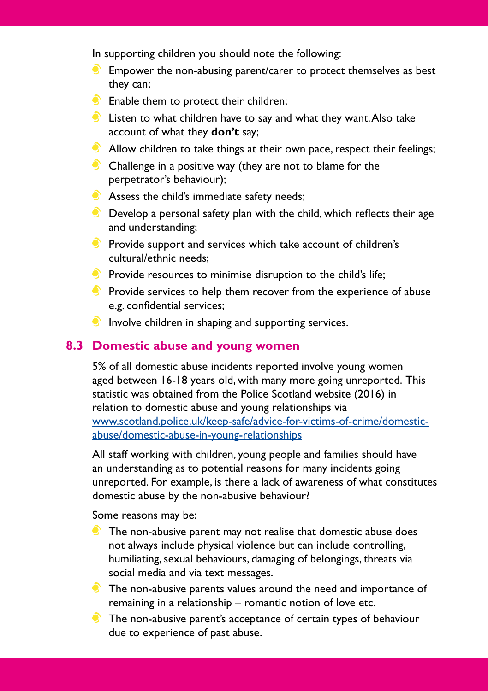In supporting children you should note the following:

- $\bullet$  Empower the non-abusing parent/carer to protect themselves as best they can;
- **Enable them to protect their children;**
- **C** Listen to what children have to say and what they want. Also take account of what they **don't** say;
- $\bullet$  Allow children to take things at their own pace, respect their feelings;
- Challenge in a positive way (they are not to blame for the perpetrator's behaviour);
- Assess the child's immediate safety needs;
- $\bullet$  Develop a personal safety plan with the child, which reflects their age and understanding;
- $\bullet$  Provide support and services which take account of children's cultural/ethnic needs;
- $\bullet$  Provide resources to minimise disruption to the child's life;
- $\bullet$  Provide services to help them recover from the experience of abuse e.g. confidential services;
- Involve children in shaping and supporting services.

#### **8.3 Domestic abuse and young women**

5% of all domestic abuse incidents reported involve young women aged between 16-18 years old, with many more going unreported. This statistic was obtained from the Police Scotland website (2016) in relation to domestic abuse and young relationships via [www.scotland.police.uk/keep-safe/advice-for-victims-of-crime/domestic](http://www.scotland.police.uk/keep-safe/advice-for-victims-of-crime/domestic-abuse/domestic-abuse-in-young-relationships)abuse/domestic-abuse-in-young-relationships

All staff working with children, young people and families should have an understanding as to potential reasons for many incidents going unreported. For example, is there a lack of awareness of what constitutes domestic abuse by the non-abusive behaviour?

Some reasons may be:

- **The non-abusive parent may not realise that domestic abuse does** not always include physical violence but can include controlling, humiliating, sexual behaviours, damaging of belongings, threats via social media and via text messages.
- The non-abusive parents values around the need and importance of remaining in a relationship – romantic notion of love etc.
- The non-abusive parent's acceptance of certain types of behaviour due to experience of past abuse.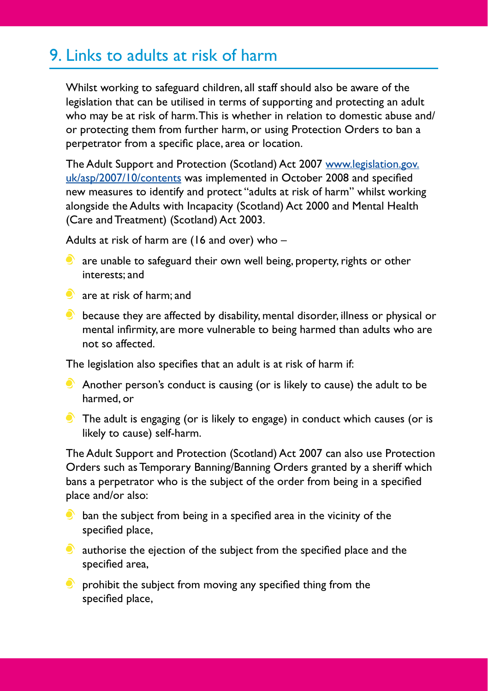## 9. Links to adults at risk of harm

Whilst working to safeguard children, all staff should also be aware of the legislation that can be utilised in terms of supporting and protecting an adult who may be at risk of harm. This is whether in relation to domestic abuse and/ or protecting them from further harm, or using Protection Orders to ban a perpetrator from a specific place, area or location.

[The Adult Support and Protection \(Scotland\) Act 2007 www.legislation.gov.](http://www.legislation.gov.uk/asp/2007/10/contents) uk/asp/2007/10/contents was implemented in October 2008 and specified new measures to identify and protect "adults at risk of harm" whilst working alongside the Adults with Incapacity (Scotland) Act 2000 and Mental Health (Care and Treatment) (Scotland) Act 2003.

Adults at risk of harm are (16 and over) who –

- $\bullet$  are unable to safeguard their own well being, property, rights or other interests; and
- **C** are at risk of harm; and
- $\bullet$  because they are affected by disability, mental disorder, illness or physical or mental infirmity, are more vulnerable to being harmed than adults who are not so affected.

The legislation also specifies that an adult is at risk of harm if:

- Another person's conduct is causing (or is likely to cause) the adult to be harmed, or
- $\bullet$  The adult is engaging (or is likely to engage) in conduct which causes (or is likely to cause) self-harm.

The Adult Support and Protection (Scotland) Act 2007 can also use Protection Orders such as Temporary Banning/Banning Orders granted by a sheriff which bans a perpetrator who is the subject of the order from being in a specified place and/or also:

- $\bullet$  ban the subject from being in a specified area in the vicinity of the specified place,
- $\bullet$  authorise the ejection of the subject from the specified place and the specified area,
- $\bullet$  prohibit the subject from moving any specified thing from the specified place,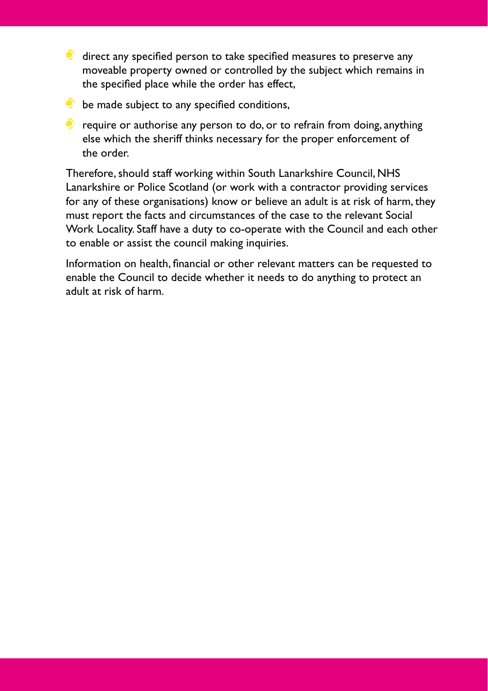- $\bullet$  direct any specified person to take specified measures to preserve any moveable property owned or controlled by the subject which remains in the specified place while the order has effect,
- $\bullet$  be made subject to any specified conditions,
- $\bullet$  require or authorise any person to do, or to refrain from doing, anything else which the sheriff thinks necessary for the proper enforcement of the order.

Therefore, should staff working within South Lanarkshire Council, NHS Lanarkshire or Police Scotland (or work with a contractor providing services for any of these organisations) know or believe an adult is at risk of harm, they must report the facts and circumstances of the case to the relevant Social Work Locality. Staff have a duty to co-operate with the Council and each other to enable or assist the council making inquiries.

Information on health, financial or other relevant matters can be requested to enable the Council to decide whether it needs to do anything to protect an adult at risk of harm.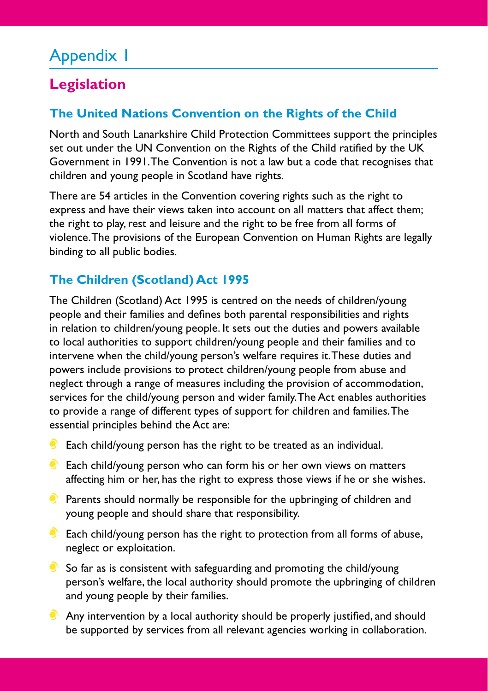## Appendix 1

## **Legislation**

## **The United Nations Convention on the Rights of the Child**

North and South Lanarkshire Child Protection Committees support the principles set out under the UN Convention on the Rights of the Child ratified by the UK Government in 1991. The Convention is not a law but a code that recognises that children and young people in Scotland have rights.

There are 54 articles in the Convention covering rights such as the right to express and have their views taken into account on all matters that affect them; the right to play, rest and leisure and the right to be free from all forms of violence. The provisions of the European Convention on Human Rights are legally binding to all public bodies.

## **The Children (Scotland) Act 1995**

The Children (Scotland) Act 1995 is centred on the needs of children/young people and their families and defines both parental responsibilities and rights in relation to children/young people. It sets out the duties and powers available to local authorities to support children/young people and their families and to intervene when the child/young person's welfare requires it. These duties and powers include provisions to protect children/young people from abuse and neglect through a range of measures including the provision of accommodation, services for the child/young person and wider family. The Act enables authorities to provide a range of different types of support for children and families. The essential principles behind the Act are:

- $\bullet$  Each child/young person has the right to be treated as an individual.
- $\bullet$  Each child/young person who can form his or her own views on matters affecting him or her, has the right to express those views if he or she wishes.
- $\bullet$  Parents should normally be responsible for the upbringing of children and young people and should share that responsibility.
- $\bullet$  Each child/young person has the right to protection from all forms of abuse, neglect or exploitation.
- $\bullet$  So far as is consistent with safeguarding and promoting the child/young person's welfare, the local authority should promote the upbringing of children and young people by their families.
- Any intervention by a local authority should be properly justified, and should be supported by services from all relevant agencies working in collaboration.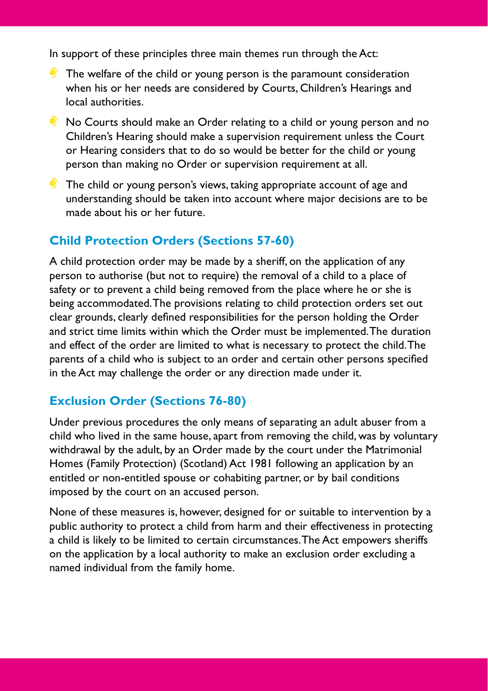In support of these principles three main themes run through the Act:

- $\bullet$  The welfare of the child or young person is the paramount consideration when his or her needs are considered by Courts, Children's Hearings and local authorities.
- No Courts should make an Order relating to a child or young person and no Children's Hearing should make a supervision requirement unless the Court or Hearing considers that to do so would be better for the child or young person than making no Order or supervision requirement at all.
- The child or young person's views, taking appropriate account of age and understanding should be taken into account where major decisions are to be made about his or her future.

### **Child Protection Orders (Sections 57-60)**

A child protection order may be made by a sheriff, on the application of any person to authorise (but not to require) the removal of a child to a place of safety or to prevent a child being removed from the place where he or she is being accommodated. The provisions relating to child protection orders set out clear grounds, clearly defined responsibilities for the person holding the Order and strict time limits within which the Order must be implemented. The duration and effect of the order are limited to what is necessary to protect the child. The parents of a child who is subject to an order and certain other persons specified in the Act may challenge the order or any direction made under it.

### **Exclusion Order (Sections 76-80)**

Under previous procedures the only means of separating an adult abuser from a child who lived in the same house, apart from removing the child, was by voluntary withdrawal by the adult, by an Order made by the court under the Matrimonial Homes (Family Protection) (Scotland) Act 1981 following an application by an entitled or non-entitled spouse or cohabiting partner, or by bail conditions imposed by the court on an accused person.

None of these measures is, however, designed for or suitable to intervention by a public authority to protect a child from harm and their effectiveness in protecting a child is likely to be limited to certain circumstances. The Act empowers sheriffs on the application by a local authority to make an exclusion order excluding a named individual from the family home.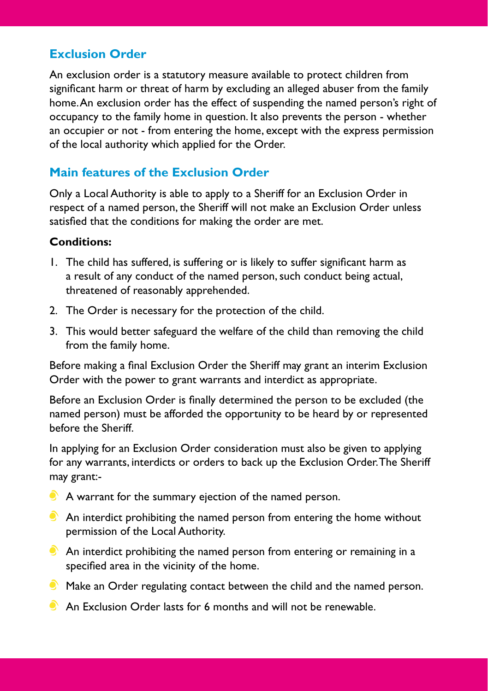### **Exclusion Order**

An exclusion order is a statutory measure available to protect children from significant harm or threat of harm by excluding an alleged abuser from the family home. An exclusion order has the effect of suspending the named person's right of occupancy to the family home in question. It also prevents the person - whether an occupier or not - from entering the home, except with the express permission of the local authority which applied for the Order.

### **Main features of the Exclusion Order**

Only a Local Authority is able to apply to a Sheriff for an Exclusion Order in respect of a named person, the Sheriff will not make an Exclusion Order unless satisfied that the conditions for making the order are met.

#### **Conditions:**

- 1. The child has suffered, is suffering or is likely to suffer significant harm as a result of any conduct of the named person, such conduct being actual, threatened of reasonably apprehended.
- 2. The Order is necessary for the protection of the child.
- 3. This would better safeguard the welfare of the child than removing the child from the family home.

Before making a final Exclusion Order the Sheriff may grant an interim Exclusion Order with the power to grant warrants and interdict as appropriate.

Before an Exclusion Order is finally determined the person to be excluded (the named person) must be afforded the opportunity to be heard by or represented before the Sheriff.

In applying for an Exclusion Order consideration must also be given to applying for any warrants, interdicts or orders to back up the Exclusion Order. The Sheriff may grant:-

- A warrant for the summary ejection of the named person.
- $\bullet$  An interdict prohibiting the named person from entering the home without permission of the Local Authority.
- $\bullet$  An interdict prohibiting the named person from entering or remaining in a specified area in the vicinity of the home.
- $\bullet$  Make an Order regulating contact between the child and the named person.
- An Exclusion Order lasts for 6 months and will not be renewable.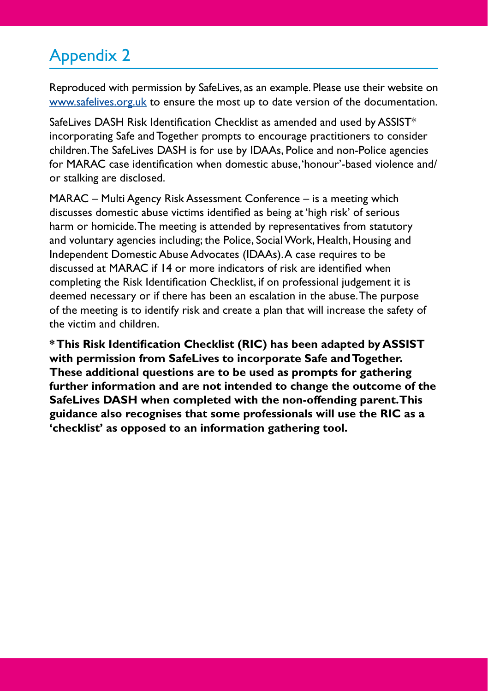## Appendix 2

Reproduced with permission by SafeLives, as an example. Please use their website on [www.safelives.org.uk to](http://www.safelives.org.uk) ensure the most up to date version of the documentation.

SafeLives DASH Risk Identification Checklist as amended and used by ASSIST\* incorporating Safe and Together prompts to encourage practitioners to consider children. The SafeLives DASH is for use by IDAAs, Police and non-Police agencies for MARAC case identification when domestic abuse, 'honour'-based violence and/ or stalking are disclosed.

MARAC – Multi Agency Risk Assessment Conference – is a meeting which discusses domestic abuse victims identified as being at 'high risk' of serious harm or homicide. The meeting is attended by representatives from statutory and voluntary agencies including; the Police, Social Work, Health, Housing and Independent Domestic Abuse Advocates (IDAAs). A case requires to be discussed at MARAC if 14 or more indicators of risk are identified when completing the Risk Identification Checklist, if on professional judgement it is deemed necessary or if there has been an escalation in the abuse. The purpose of the meeting is to identify risk and create a plan that will increase the safety of the victim and children.

**\* This Risk Identification Checklist (RIC) has been adapted by ASSIST with permission from SafeLives to incorporate Safe and Together. These additional questions are to be used as prompts for gathering further information and are not intended to change the outcome of the SafeLives DASH when completed with the non-offending parent. This guidance also recognises that some professionals will use the RIC as a 'checklist' as opposed to an information gathering tool.**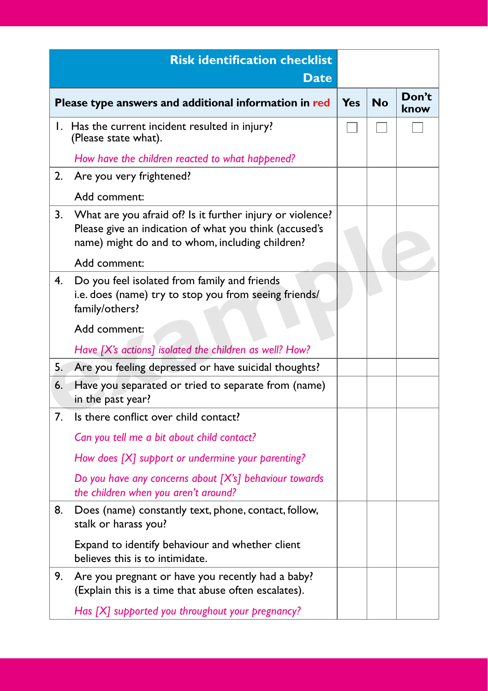|    | <b>Risk identification checklist</b><br><b>Date</b>                                                                                                                                    |            |           |               |
|----|----------------------------------------------------------------------------------------------------------------------------------------------------------------------------------------|------------|-----------|---------------|
|    | Please type answers and additional information in red                                                                                                                                  | <b>Yes</b> | <b>No</b> | Don't<br>know |
|    | I. Has the current incident resulted in injury?<br>(Please state what).                                                                                                                |            |           |               |
|    | How have the children reacted to what happened?                                                                                                                                        |            |           |               |
| 2. | Are you very frightened?                                                                                                                                                               |            |           |               |
|    | Add comment:                                                                                                                                                                           |            |           |               |
| 3. | What are you afraid of? Is it further injury or violence?<br>Please give an indication of what you think (accused's<br>name) might do and to whom, including children?<br>Add comment: |            |           |               |
| 4. | Do you feel isolated from family and friends<br>i.e. does (name) try to stop you from seeing friends/<br>family/others?                                                                |            |           |               |
|    | Add comment:                                                                                                                                                                           |            |           |               |
|    | Have [X's actions] isolated the children as well? How?                                                                                                                                 |            |           |               |
| 5. | Are you feeling depressed or have suicidal thoughts?                                                                                                                                   |            |           |               |
| 6. | Have you separated or tried to separate from (name)<br>in the past year?                                                                                                               |            |           |               |
| 7. | Is there conflict over child contact?                                                                                                                                                  |            |           |               |
|    | Can you tell me a bit about child contact?                                                                                                                                             |            |           |               |
|    | How does [X] support or undermine your parenting?                                                                                                                                      |            |           |               |
|    | Do you have any concerns about [X's] behaviour towards<br>the children when you aren't around?                                                                                         |            |           |               |
| 8. | Does (name) constantly text, phone, contact, follow,<br>stalk or harass you?                                                                                                           |            |           |               |
|    | Expand to identify behaviour and whether client<br>believes this is to intimidate.                                                                                                     |            |           |               |
| 9. | Are you pregnant or have you recently had a baby?<br>(Explain this is a time that abuse often escalates).                                                                              |            |           |               |
|    | Has [X] supported you throughout your pregnancy?                                                                                                                                       |            |           |               |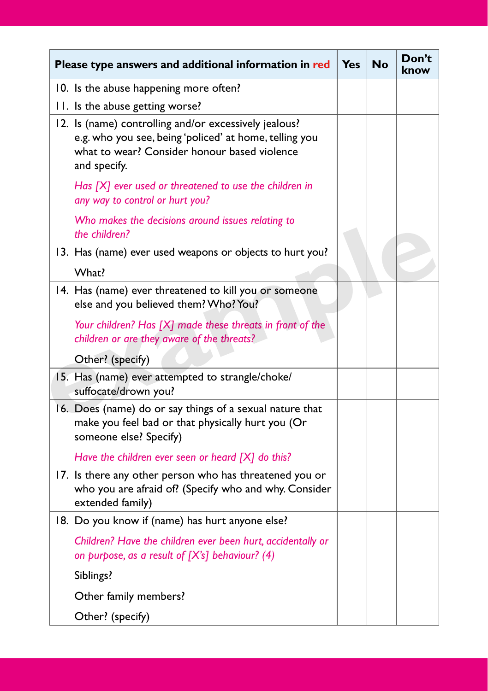| Please type answers and additional information in red                                                                                                                           | <b>Yes</b> | No | Don't<br>knov |
|---------------------------------------------------------------------------------------------------------------------------------------------------------------------------------|------------|----|---------------|
| 10. Is the abuse happening more often?                                                                                                                                          |            |    |               |
| 11. Is the abuse getting worse?                                                                                                                                                 |            |    |               |
| 12. Is (name) controlling and/or excessively jealous?<br>e.g. who you see, being 'policed' at home, telling you<br>what to wear? Consider honour based violence<br>and specify. |            |    |               |
| Has [X] ever used or threatened to use the children in<br>any way to control or hurt you?                                                                                       |            |    |               |
| Who makes the decisions around issues relating to<br>the children?                                                                                                              |            |    |               |
| 13. Has (name) ever used weapons or objects to hurt you?                                                                                                                        |            |    |               |
| What?                                                                                                                                                                           |            |    |               |
| 14. Has (name) ever threatened to kill you or someone<br>else and you believed them? Who? You?                                                                                  |            |    |               |
| Your children? Has [X] made these threats in front of the<br>children or are they aware of the threats?                                                                         |            |    |               |
| Other? (specify)                                                                                                                                                                |            |    |               |
| 15. Has (name) ever attempted to strangle/choke/<br>suffocate/drown you?                                                                                                        |            |    |               |
| 16. Does (name) do or say things of a sexual nature that<br>make you feel bad or that physically hurt you (Or<br>someone else? Specify)                                         |            |    |               |
| Have the children ever seen or heard $[X]$ do this?                                                                                                                             |            |    |               |
| 17. Is there any other person who has threatened you or<br>who you are afraid of? (Specify who and why. Consider<br>extended family)                                            |            |    |               |
| 18. Do you know if (name) has hurt anyone else?                                                                                                                                 |            |    |               |
| Children? Have the children ever been hurt, accidentally or<br>on purpose, as a result of $[X\hat{s}]$ behaviour? (4)                                                           |            |    |               |
| Siblings?                                                                                                                                                                       |            |    |               |
| Other family members?                                                                                                                                                           |            |    |               |
| Other? (specify)                                                                                                                                                                |            |    |               |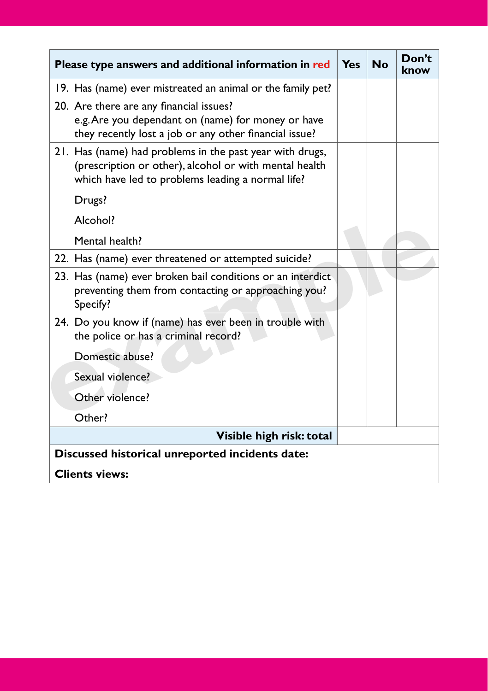| Please type answers and additional information in red                                                                                                                   | Yes | <b>No</b> | Don't<br>know |
|-------------------------------------------------------------------------------------------------------------------------------------------------------------------------|-----|-----------|---------------|
| 19. Has (name) ever mistreated an animal or the family pet?                                                                                                             |     |           |               |
| 20. Are there are any financial issues?<br>e.g. Are you dependant on (name) for money or have<br>they recently lost a job or any other financial issue?                 |     |           |               |
| 21. Has (name) had problems in the past year with drugs,<br>(prescription or other), alcohol or with mental health<br>which have led to problems leading a normal life? |     |           |               |
| Drugs?                                                                                                                                                                  |     |           |               |
| Alcohol?                                                                                                                                                                |     |           |               |
| Mental health?                                                                                                                                                          |     |           |               |
| 22. Has (name) ever threatened or attempted suicide?                                                                                                                    |     |           |               |
| 23. Has (name) ever broken bail conditions or an interdict<br>preventing them from contacting or approaching you?<br>Specify?                                           |     |           |               |
| 24. Do you know if (name) has ever been in trouble with<br>the police or has a criminal record?                                                                         |     |           |               |
| Domestic abuse?                                                                                                                                                         |     |           |               |
| Sexual violence?                                                                                                                                                        |     |           |               |
| Other violence?                                                                                                                                                         |     |           |               |
| Other?                                                                                                                                                                  |     |           |               |
| Visible high risk: total                                                                                                                                                |     |           |               |
| Discussed historical unreported incidents date:                                                                                                                         |     |           |               |
| <b>Clients views:</b>                                                                                                                                                   |     |           |               |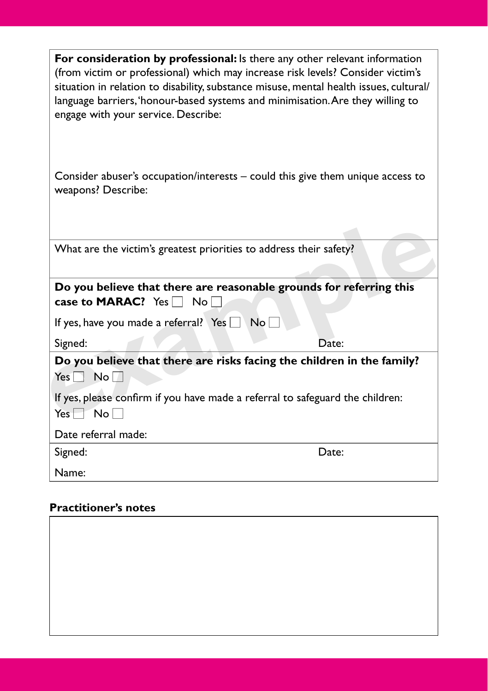| <b>For consideration by professional:</b> Is there any other relevant information<br>(from victim or professional) which may increase risk levels? Consider victim's<br>situation in relation to disability, substance misuse, mental health issues, cultural/<br>language barriers, 'honour-based systems and minimisation. Are they willing to<br>engage with your service. Describe: |  |  |
|-----------------------------------------------------------------------------------------------------------------------------------------------------------------------------------------------------------------------------------------------------------------------------------------------------------------------------------------------------------------------------------------|--|--|
| Consider abuser's occupation/interests $-$ could this give them unique access to<br>weapons? Describe:                                                                                                                                                                                                                                                                                  |  |  |
| What are the victim's greatest priorities to address their safety?                                                                                                                                                                                                                                                                                                                      |  |  |
| Do you believe that there are reasonable grounds for referring this<br>case to MARAC? Yes $\Box$ No $\Box$                                                                                                                                                                                                                                                                              |  |  |
| If yes, have you made a referral? Yes No                                                                                                                                                                                                                                                                                                                                                |  |  |
| Signed:<br>Date:                                                                                                                                                                                                                                                                                                                                                                        |  |  |
| Do you believe that there are risks facing the children in the family?<br>$Yes \tNol$                                                                                                                                                                                                                                                                                                   |  |  |
| If yes, please confirm if you have made a referral to safeguard the children:<br>$Yes \tNol$                                                                                                                                                                                                                                                                                            |  |  |
| Date referral made:                                                                                                                                                                                                                                                                                                                                                                     |  |  |
| Signed:<br>Date:                                                                                                                                                                                                                                                                                                                                                                        |  |  |
| Name:                                                                                                                                                                                                                                                                                                                                                                                   |  |  |

## **Practitioner's notes**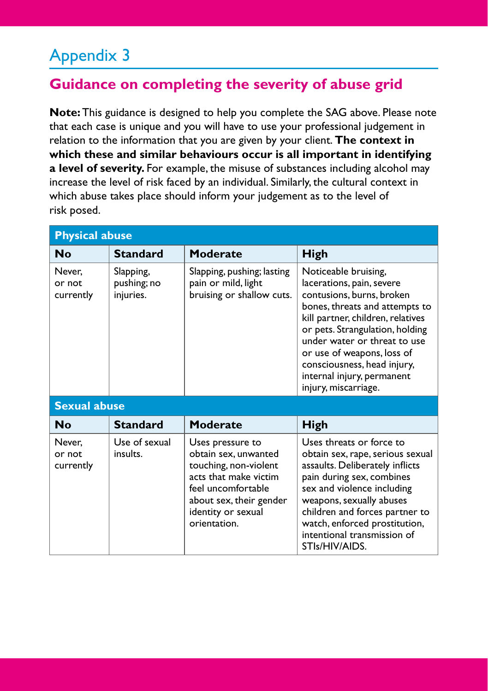## Appendix 3

## **Guidance on completing the severity of abuse grid**

**Note:** This guidance is designed to help you complete the SAG above. Please note that each case is unique and you will have to use your professional judgement in relation to the information that you are given by your client. **The context in which these and similar behaviours occur is all important in identifying a level of severity.** For example, the misuse of substances including alcohol may increase the level of risk faced by an individual. Similarly, the cultural context in which abuse takes place should inform your judgement as to the level of risk posed.

| <b>Physical abuse</b>         |                                       |                                                                                                                                                                                   |                                                                                                                                                                                                                                                                                                                                             |  |
|-------------------------------|---------------------------------------|-----------------------------------------------------------------------------------------------------------------------------------------------------------------------------------|---------------------------------------------------------------------------------------------------------------------------------------------------------------------------------------------------------------------------------------------------------------------------------------------------------------------------------------------|--|
| Nο                            | <b>Standard</b>                       | Moderate                                                                                                                                                                          | High                                                                                                                                                                                                                                                                                                                                        |  |
| Never.<br>or not<br>currently | Slapping,<br>pushing; no<br>injuries. | Slapping, pushing; lasting<br>pain or mild, light<br>bruising or shallow cuts.                                                                                                    | Noticeable bruising,<br>lacerations, pain, severe<br>contusions, burns, broken<br>bones, threats and attempts to<br>kill partner, children, relatives<br>or pets. Strangulation, holding<br>under water or threat to use<br>or use of weapons, loss of<br>consciousness, head injury,<br>internal injury, permanent<br>injury, miscarriage. |  |
| <b>Sexual abuse</b>           |                                       |                                                                                                                                                                                   |                                                                                                                                                                                                                                                                                                                                             |  |
| Nο                            | <b>Standard</b>                       | <b>Moderate</b>                                                                                                                                                                   | High                                                                                                                                                                                                                                                                                                                                        |  |
| Never.<br>or not<br>currently | Use of sexual<br>insults.             | Uses pressure to<br>obtain sex, unwanted<br>touching, non-violent<br>acts that make victim<br>feel uncomfortable<br>about sex, their gender<br>identity or sexual<br>orientation. | Uses threats or force to<br>obtain sex, rape, serious sexual<br>assaults. Deliberately inflicts<br>pain during sex, combines<br>sex and violence including<br>weapons, sexually abuses<br>children and forces partner to<br>watch, enforced prostitution,<br>intentional transmission of<br>STIs/HIV/AIDS.                                  |  |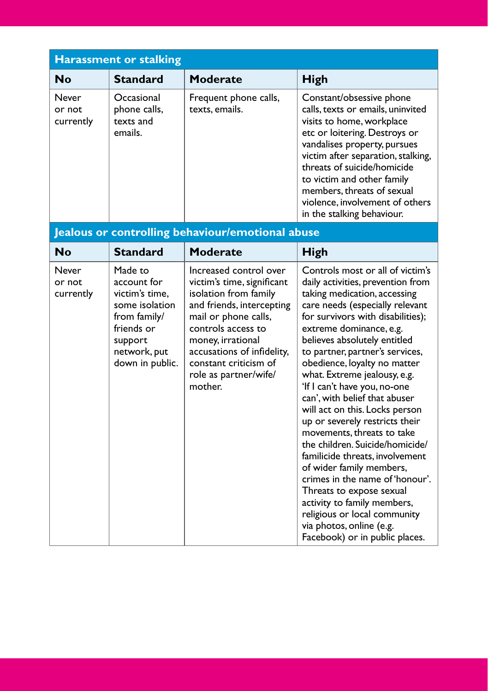| <b>Harassment or stalking</b> |                                                    |                                         |                                                                                                                                                                                                                                                                                                                                                               |  |  |  |  |
|-------------------------------|----------------------------------------------------|-----------------------------------------|---------------------------------------------------------------------------------------------------------------------------------------------------------------------------------------------------------------------------------------------------------------------------------------------------------------------------------------------------------------|--|--|--|--|
| <b>No</b>                     | <b>Standard</b>                                    | Moderate                                | High                                                                                                                                                                                                                                                                                                                                                          |  |  |  |  |
| Never<br>or not<br>currently  | Occasional<br>phone calls,<br>texts and<br>emails. | Frequent phone calls,<br>texts, emails. | Constant/obsessive phone<br>calls, texts or emails, uninvited<br>visits to home, workplace<br>etc or loitering. Destroys or<br>vandalises property, pursues<br>victim after separation, stalking,<br>threats of suicide/homicide<br>to victim and other family<br>members, threats of sexual<br>violence, involvement of others<br>in the stalking behaviour. |  |  |  |  |

## **Jealous or controlling behaviour/emotional abuse**

| <b>No</b>                    | <b>Standard</b>                                                                                                                        | Moderate                                                                                                                                                                                                                                                                 | High                                                                                                                                                                                                                                                                                                                                                                                                                                                                                                                                                                                                                                                                                                                                                                                                         |
|------------------------------|----------------------------------------------------------------------------------------------------------------------------------------|--------------------------------------------------------------------------------------------------------------------------------------------------------------------------------------------------------------------------------------------------------------------------|--------------------------------------------------------------------------------------------------------------------------------------------------------------------------------------------------------------------------------------------------------------------------------------------------------------------------------------------------------------------------------------------------------------------------------------------------------------------------------------------------------------------------------------------------------------------------------------------------------------------------------------------------------------------------------------------------------------------------------------------------------------------------------------------------------------|
| Never<br>or not<br>currently | Made to<br>account for<br>victim's time,<br>some isolation<br>from family/<br>friends or<br>support<br>network, put<br>down in public. | Increased control over<br>victim's time, significant<br>isolation from family<br>and friends, intercepting<br>mail or phone calls,<br>controls access to<br>money, irrational<br>accusations of infidelity,<br>constant criticism of<br>role as partner/wife/<br>mother. | Controls most or all of victim's<br>daily activities, prevention from<br>taking medication, accessing<br>care needs (especially relevant<br>for survivors with disabilities);<br>extreme dominance, e.g.<br>believes absolutely entitled<br>to partner, partner's services,<br>obedience, loyalty no matter<br>what. Extreme jealousy, e.g.<br>'If I can't have you, no-one<br>can', with belief that abuser<br>will act on this. Locks person<br>up or severely restricts their<br>movements, threats to take<br>the children. Suicide/homicide/<br>familicide threats, involvement<br>of wider family members,<br>crimes in the name of 'honour'.<br>Threats to expose sexual<br>activity to family members,<br>religious or local community<br>via photos, online (e.g.<br>Facebook) or in public places. |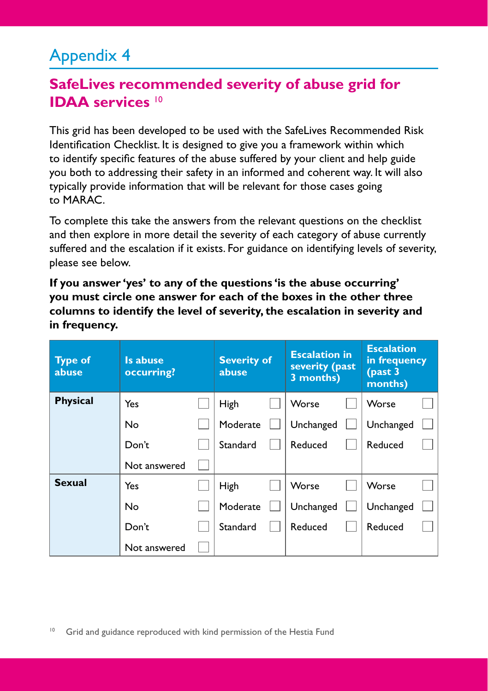## Appendix 4

## **SafeLives recommended severity of abuse grid for IDAA services** <sup>10</sup>

This grid has been developed to be used with the SafeLives Recommended Risk Identification Checklist. It is designed to give you a framework within which to identify specific features of the abuse suffered by your client and help guide you both to addressing their safety in an informed and coherent way. It will also typically provide information that will be relevant for those cases going to MARAC.

To complete this take the answers from the relevant questions on the checklist and then explore in more detail the severity of each category of abuse currently suffered and the escalation if it exists. For guidance on identifying levels of severity, please see below.

**If you answer 'yes' to any of the questions 'is the abuse occurring' you must circle one answer for each of the boxes in the other three columns to identify the level of severity, the escalation in severity and in frequency.**

| <b>Type of</b><br>abuse | Is abuse<br>occurring? | <b>Severity of</b><br>abuse | <b>Escalation in</b><br>severity (past<br>3 months) | <b>Escalation</b><br>in frequency<br>$_{\rm (past}$ 3<br>months) |  |
|-------------------------|------------------------|-----------------------------|-----------------------------------------------------|------------------------------------------------------------------|--|
| <b>Physical</b>         | Yes                    | High                        | Worse                                               | Worse                                                            |  |
|                         | No                     | Moderate                    | Unchanged                                           | Unchanged                                                        |  |
|                         | Don't                  | Standard                    | Reduced                                             | Reduced                                                          |  |
|                         | Not answered           |                             |                                                     |                                                                  |  |
| <b>Sexual</b>           | Yes                    | High                        | Worse                                               | Worse                                                            |  |
|                         | No                     | Moderate                    | Unchanged                                           | Unchanged                                                        |  |
|                         | Don't                  | Standard                    | Reduced                                             | Reduced                                                          |  |
|                         | Not answered           |                             |                                                     |                                                                  |  |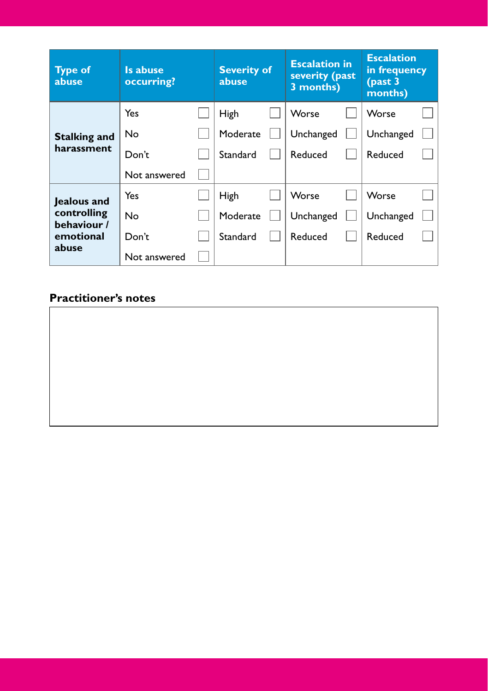| <b>Type of</b><br>abuse                                         | Is abuse<br>occurring? | <b>Severity of</b><br>abuse | <b>Escalation in</b><br>severity (past<br>3 months) | <b>Escalation</b><br>in frequency<br>$_{\rm (past}$ 3<br>months) |  |
|-----------------------------------------------------------------|------------------------|-----------------------------|-----------------------------------------------------|------------------------------------------------------------------|--|
|                                                                 | Yes                    | High                        | Worse                                               | Worse                                                            |  |
| <b>Stalking and</b>                                             | No.                    | Moderate                    | Unchanged                                           | Unchanged                                                        |  |
| harassment                                                      | Don't                  | Standard                    | Reduced                                             | Reduced                                                          |  |
|                                                                 | Not answered           |                             |                                                     |                                                                  |  |
| Jealous and<br>controlling<br>behaviour /<br>emotional<br>abuse | Yes                    | High                        | Worse                                               | Worse                                                            |  |
|                                                                 | No                     | Moderate                    | Unchanged                                           | Unchanged                                                        |  |
|                                                                 | Don't                  | Standard                    | Reduced                                             | Reduced                                                          |  |
|                                                                 | Not answered           |                             |                                                     |                                                                  |  |

### **Practitioner's notes**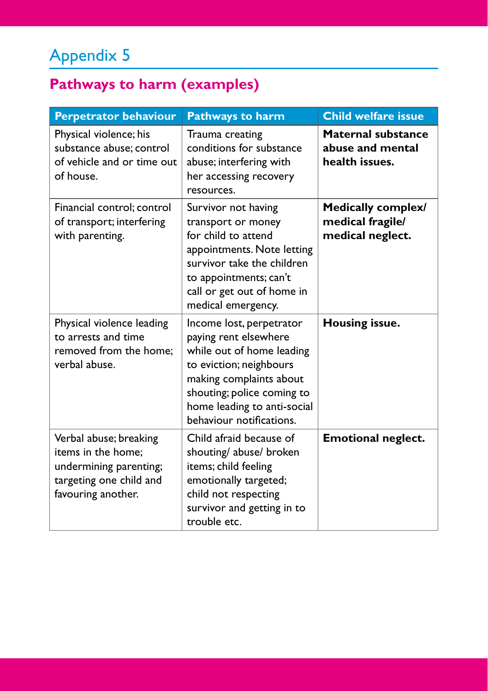# Appendix 5

# **Pathways to harm (examples)**

| <b>Perpetrator behaviour</b>                                                                                            | <b>Pathways to harm</b>                                                                                                                                                                                                       | <b>Child welfare issue</b>                                      |
|-------------------------------------------------------------------------------------------------------------------------|-------------------------------------------------------------------------------------------------------------------------------------------------------------------------------------------------------------------------------|-----------------------------------------------------------------|
| Physical violence; his<br>substance abuse; control<br>of vehicle and or time out<br>of house.                           | Trauma creating<br>conditions for substance<br>abuse; interfering with<br>her accessing recovery<br>resources.                                                                                                                | <b>Maternal substance</b><br>abuse and mental<br>health issues. |
| Financial control: control<br>of transport; interfering<br>with parenting.                                              | Survivor not having<br>transport or money<br>for child to attend<br>appointments. Note letting<br>survivor take the children<br>to appointments; can't<br>call or get out of home in<br>medical emergency.                    | Medically complex/<br>medical fragile/<br>medical neglect.      |
| Physical violence leading<br>to arrests and time<br>removed from the home;<br>verbal abuse.                             | Income lost, perpetrator<br>paying rent elsewhere<br>while out of home leading<br>to eviction; neighbours<br>making complaints about<br>shouting; police coming to<br>home leading to anti-social<br>behaviour notifications. | Housing issue.                                                  |
| Verbal abuse; breaking<br>items in the home:<br>undermining parenting;<br>targeting one child and<br>favouring another. | Child afraid because of<br>shouting/ abuse/ broken<br>items; child feeling<br>emotionally targeted;<br>child not respecting<br>survivor and getting in to<br>trouble etc.                                                     | <b>Emotional neglect.</b>                                       |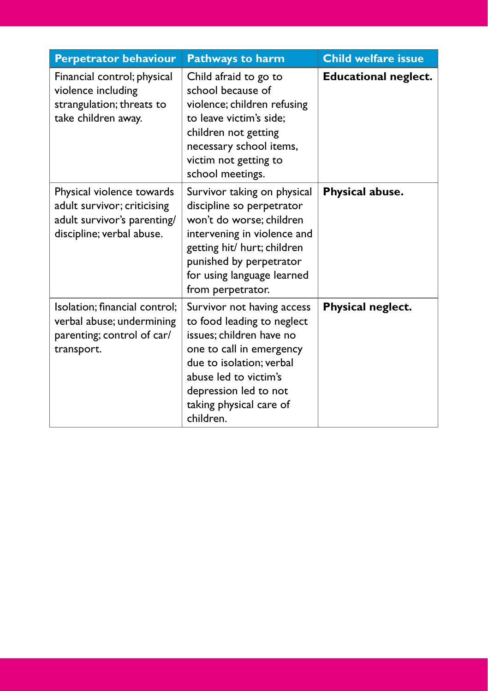| <b>Perpetrator behaviour</b>                                                                                         | <b>Pathways to harm</b>                                                                                                                                                                                                                | <b>Child welfare issue</b>  |
|----------------------------------------------------------------------------------------------------------------------|----------------------------------------------------------------------------------------------------------------------------------------------------------------------------------------------------------------------------------------|-----------------------------|
| Financial control; physical<br>violence including<br>strangulation; threats to<br>take children away.                | Child afraid to go to<br>school because of<br>violence; children refusing<br>to leave victim's side:<br>children not getting<br>necessary school items,<br>victim not getting to<br>school meetings.                                   | <b>Educational neglect.</b> |
| Physical violence towards<br>adult survivor; criticising<br>adult survivor's parenting/<br>discipline; verbal abuse. | Survivor taking on physical<br>discipline so perpetrator<br>won't do worse: children<br>intervening in violence and<br>getting hit/ hurt; children<br>punished by perpetrator<br>for using language learned<br>from perpetrator.       | Physical abuse.             |
| Isolation; financial control;<br>verbal abuse; undermining<br>parenting; control of car/<br>transport.               | Survivor not having access<br>to food leading to neglect<br>issues; children have no<br>one to call in emergency<br>due to isolation; verbal<br>abuse led to victim's<br>depression led to not<br>taking physical care of<br>children. | Physical neglect.           |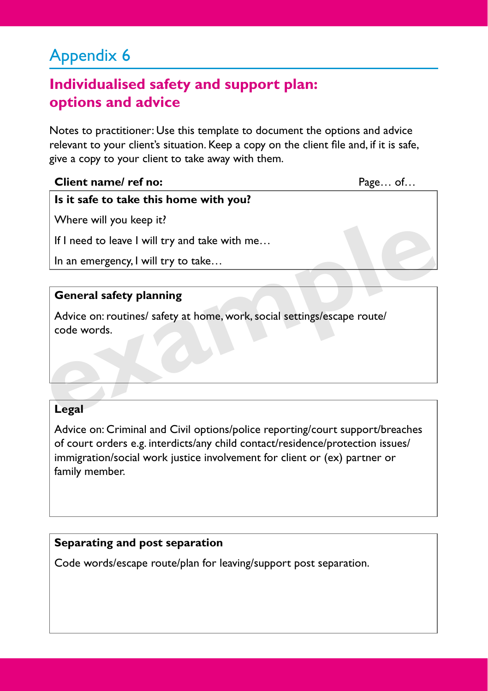## Appendix 6

## **Individualised safety and support plan: options and advice**

Notes to practitioner: Use this template to document the options and advice relevant to your client's situation. Keep a copy on the client file and, if it is safe, give a copy to your client to take away with them.

#### **Client name/ ref no:** Page... of...

### **Is it safe to take this home with you?**

Where will you keep it?

If I need to leave I will try and take with me…

In an emergency, I will try to take…

#### **General safety planning**

Advice on: routines/ safety at home, work, social settings/escape route/ code words. If I need to leave I will try and take with me...<br>
In an emergency, I will try to take...<br> **General safety planning**<br>
Advice on: routines/ safety at home, work, social settings/escape route/<br>
code words.<br>
Legal

#### **Legal**

Advice on: Criminal and Civil options/police reporting/court support/breaches of court orders e.g. interdicts/any child contact/residence/protection issues/ immigration/social work justice involvement for client or (ex) partner or family member.

#### **Separating and post separation**

Code words/escape route/plan for leaving/support post separation.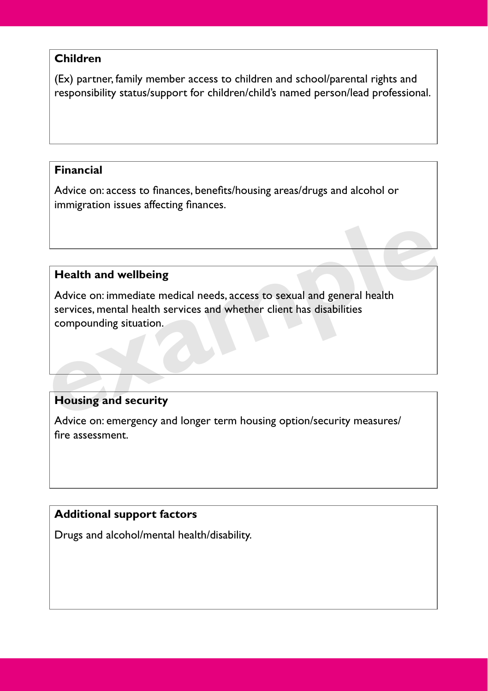#### **Children**

(Ex) partner, family member access to children and school/parental rights and responsibility status/support for children/child's named person/lead professional.

#### **Financial**

Advice on: access to finances, benefits/housing areas/drugs and alcohol or immigration issues affecting finances.

### **Health and wellbeing**

Advice on: immediate medical needs, access to sexual and general health services, mental health services and whether client has disabilities compounding situation. **Fealth and wellbeing**<br>
Advice on: immediate medical needs, access to sexual and general health<br>
services, mental health services and whether client has disabilities<br>
compounding situation.<br> **Example 3**<br> **Example 3**<br> **Exam** 

### **Housing and security**

Advice on: emergency and longer term housing option/security measures/ fire assessment.

### **Additional support factors**

Drugs and alcohol/mental health/disability.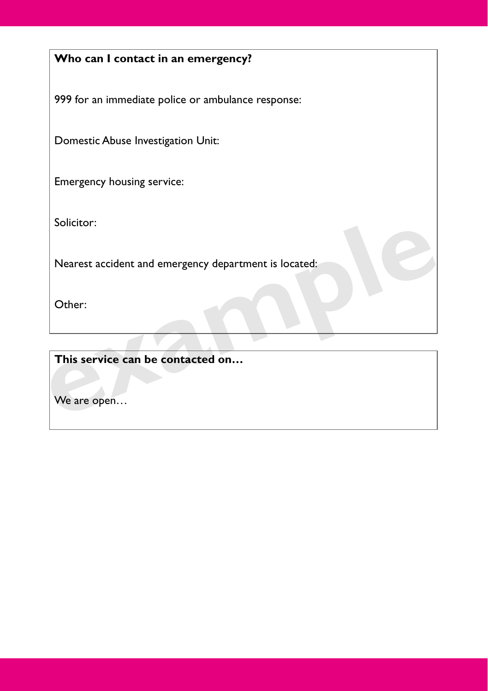## **Who can I contact in an emergency?**

999 for an immediate police or ambulance response:

Domestic Abuse Investigation Unit:

Emergency housing service:

Solicitor:

Nearest accident and emergency department is located: Nearest accident and emergency department is located:<br>
Other:<br>
This service can be contacted on...<br>
We are open...

Other:

**This service can be contacted on…**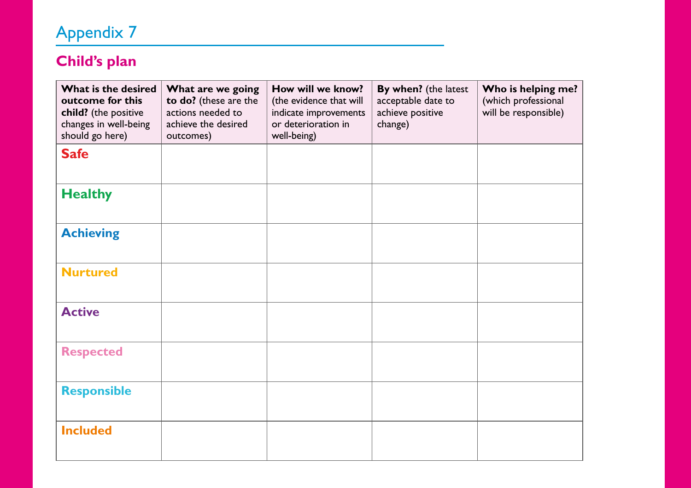# Appendix 7

## **Child's plan**

| What is the desired<br>outcome for this<br>child? (the positive<br>changes in well-being<br>should go here) | What are we going<br>to do? (these are the<br>actions needed to<br>achieve the desired<br>outcomes) | How will we know?<br>(the evidence that will<br>indicate improvements<br>or deterioration in<br>well-being) | By when? (the latest<br>acceptable date to<br>achieve positive<br>change) | Who is helping me?<br>(which professional<br>will be responsible) |
|-------------------------------------------------------------------------------------------------------------|-----------------------------------------------------------------------------------------------------|-------------------------------------------------------------------------------------------------------------|---------------------------------------------------------------------------|-------------------------------------------------------------------|
| <b>Safe</b>                                                                                                 |                                                                                                     |                                                                                                             |                                                                           |                                                                   |
| <b>Healthy</b>                                                                                              |                                                                                                     |                                                                                                             |                                                                           |                                                                   |
| <b>Achieving</b>                                                                                            |                                                                                                     |                                                                                                             |                                                                           |                                                                   |
| <b>Nurtured</b>                                                                                             |                                                                                                     |                                                                                                             |                                                                           |                                                                   |
| <b>Active</b>                                                                                               |                                                                                                     |                                                                                                             |                                                                           |                                                                   |
| <b>Respected</b>                                                                                            |                                                                                                     |                                                                                                             |                                                                           |                                                                   |
| <b>Responsible</b>                                                                                          |                                                                                                     |                                                                                                             |                                                                           |                                                                   |
| <b>Included</b>                                                                                             |                                                                                                     |                                                                                                             |                                                                           |                                                                   |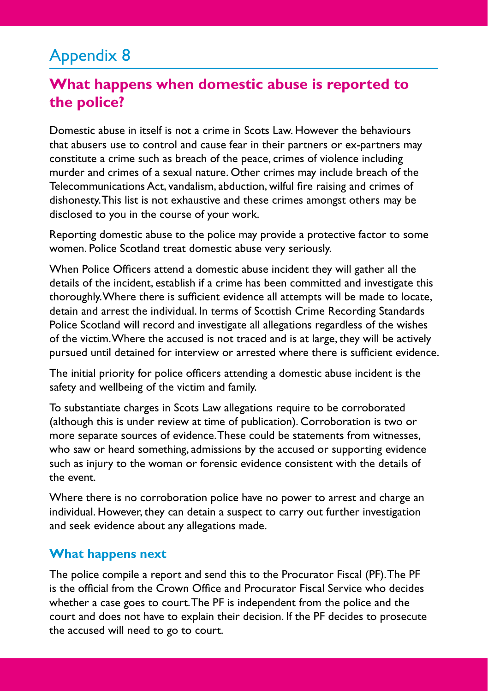## Appendix 8

## **What happens when domestic abuse is reported to the police?**

Domestic abuse in itself is not a crime in Scots Law. However the behaviours that abusers use to control and cause fear in their partners or ex-partners may constitute a crime such as breach of the peace, crimes of violence including murder and crimes of a sexual nature. Other crimes may include breach of the Telecommunications Act, vandalism, abduction, wilful fire raising and crimes of dishonesty. This list is not exhaustive and these crimes amongst others may be disclosed to you in the course of your work.

Reporting domestic abuse to the police may provide a protective factor to some women. Police Scotland treat domestic abuse very seriously.

When Police Officers attend a domestic abuse incident they will gather all the details of the incident, establish if a crime has been committed and investigate this thoroughly. Where there is sufficient evidence all attempts will be made to locate, detain and arrest the individual. In terms of Scottish Crime Recording Standards Police Scotland will record and investigate all allegations regardless of the wishes of the victim. Where the accused is not traced and is at large, they will be actively pursued until detained for interview or arrested where there is sufficient evidence.

The initial priority for police officers attending a domestic abuse incident is the safety and wellbeing of the victim and family.

To substantiate charges in Scots Law allegations require to be corroborated (although this is under review at time of publication). Corroboration is two or more separate sources of evidence. These could be statements from witnesses, who saw or heard something, admissions by the accused or supporting evidence such as injury to the woman or forensic evidence consistent with the details of the event.

Where there is no corroboration police have no power to arrest and charge an individual. However, they can detain a suspect to carry out further investigation and seek evidence about any allegations made.

#### **What happens next**

The police compile a report and send this to the Procurator Fiscal (PF). The PF is the official from the Crown Office and Procurator Fiscal Service who decides whether a case goes to court. The PF is independent from the police and the court and does not have to explain their decision. If the PF decides to prosecute the accused will need to go to court.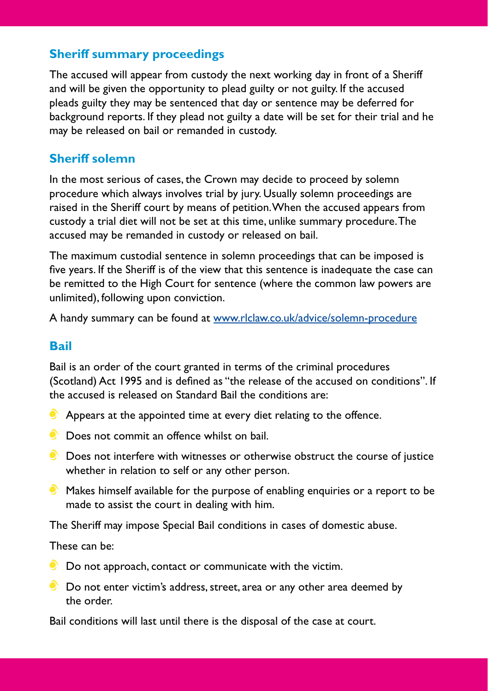### **Sheriff summary proceedings**

The accused will appear from custody the next working day in front of a Sheriff and will be given the opportunity to plead guilty or not guilty. If the accused pleads guilty they may be sentenced that day or sentence may be deferred for background reports. If they plead not guilty a date will be set for their trial and he may be released on bail or remanded in custody.

### **Sheriff solemn**

In the most serious of cases, the Crown may decide to proceed by solemn procedure which always involves trial by jury. Usually solemn proceedings are raised in the Sheriff court by means of petition. When the accused appears from custody a trial diet will not be set at this time, unlike summary procedure. The accused may be remanded in custody or released on bail.

The maximum custodial sentence in solemn proceedings that can be imposed is five years. If the Sheriff is of the view that this sentence is inadequate the case can be remitted to the High Court for sentence (where the common law powers are unlimited), following upon conviction.

A handy summary can be found at [www.rlclaw.co.uk/advice/solemn-procedure](http://www.rlclaw.co.uk/advice/solemn-procedure)

#### **Bail**

Bail is an order of the court granted in terms of the criminal procedures (Scotland) Act 1995 and is defined as "the release of the accused on conditions". If the accused is released on Standard Bail the conditions are:

- **C** Appears at the appointed time at every diet relating to the offence.
- **C** Does not commit an offence whilst on bail.
- $\bullet$  Does not interfere with witnesses or otherwise obstruct the course of justice whether in relation to self or any other person.
- $\bullet$  Makes himself available for the purpose of enabling enquiries or a report to be made to assist the court in dealing with him.

The Sheriff may impose Special Bail conditions in cases of domestic abuse.

These can be:

- Do not approach, contact or communicate with the victim.
- **Do not enter victim's address, street, area or any other area deemed by** the order.

Bail conditions will last until there is the disposal of the case at court.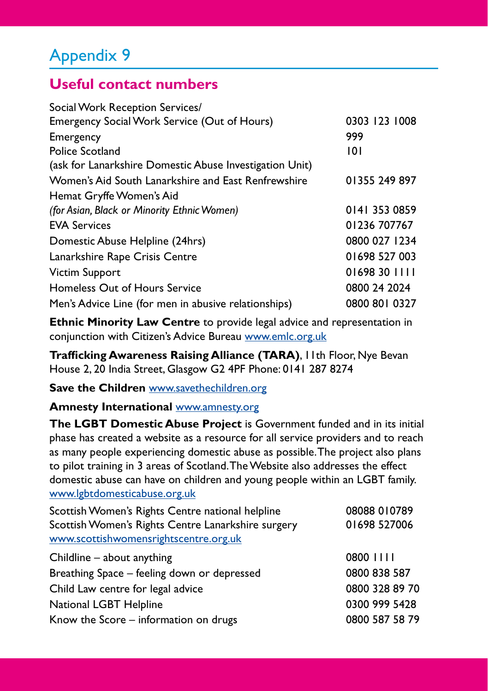## Appendix 9

## **Useful contact numbers**

| 0303 123 1008 |
|---------------|
| 999           |
| 101           |
|               |
| 01355 249 897 |
|               |
| 0141 353 0859 |
| 01236 707767  |
| 0800 027 1234 |
| 01698 527 003 |
| 01698 30 1111 |
| 0800 24 2024  |
| 0800 801 0327 |
|               |

**Ethnic Minority Law Centre** to provide legal advice and representation in conjunction with Citizen's Advice Bureau [www.emlc.org.uk](http://www.emlc.org.uk)

**Trafficking Awareness Raising Alliance (TARA)**, 11th Floor, Nye Bevan House 2, 20 India Street, Glasgow G2 4PF Phone: 0141 287 8274

**Save the Children** [www.savethechildren.org](http://www.savethechildren.org)

#### **Amnesty International** [www.amnesty.org](http://www.amnesty.org)

**The LGBT Domestic Abuse Project** is Government funded and in its initial phase has created a website as a resource for all service providers and to reach as many people experiencing domestic abuse as possible. The project also plans to pilot training in 3 areas of Scotland. The Website also addresses the effect domestic abuse can have on children and young people within an LGBT family. [www.lgbtdomesticabuse.org.uk](http://www.lgbtdomesticabuse.org.uk)

| 08088 010789   |
|----------------|
| 01698 527006   |
|                |
| 0800 1111      |
| 0800 838 587   |
| 0800 328 89 70 |
| 0300 999 5428  |
| 0800 587 58 79 |
|                |